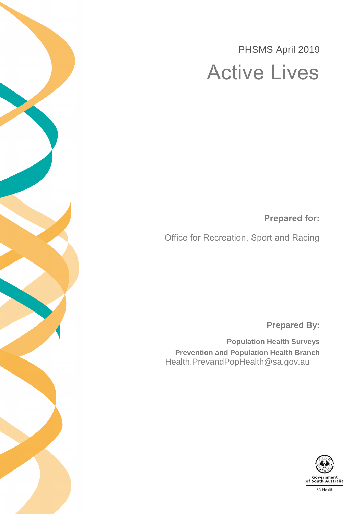# PHSMS April 2019 Active Lives

**Prepared for:**

Office for Recreation, Sport and Racing

**Prepared By:**

**Population Health Surveys Prevention and Population Health Branch** Health.PrevandPopHealth@sa.gov.au

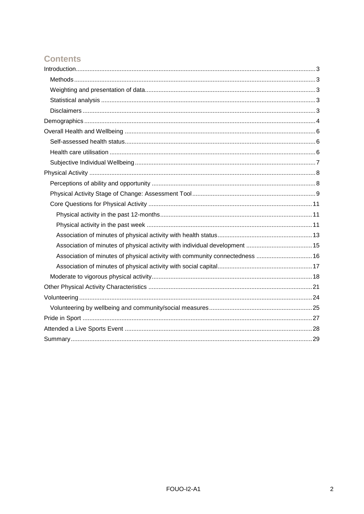# **Contents**

| Association of minutes of physical activity with community connectedness  16 |
|------------------------------------------------------------------------------|
|                                                                              |
|                                                                              |
|                                                                              |
|                                                                              |
|                                                                              |
|                                                                              |
|                                                                              |
|                                                                              |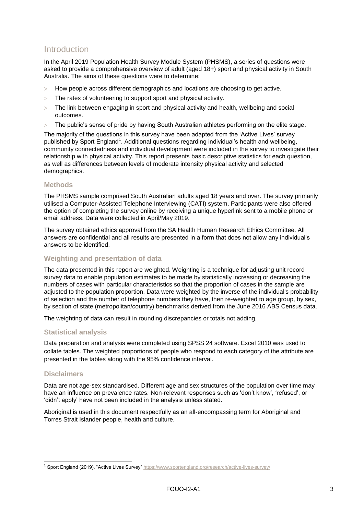### <span id="page-2-0"></span>Introduction

In the April 2019 Population Health Survey Module System (PHSMS), a series of questions were asked to provide a comprehensive overview of adult (aged 18+) sport and physical activity in South Australia. The aims of these questions were to determine:

- How people across different demographics and locations are choosing to get active.
- $>$  The rates of volunteering to support sport and physical activity.
- The link between engaging in sport and physical activity and health, wellbeing and social outcomes.
- The public's sense of pride by having South Australian athletes performing on the elite stage.

The majority of the questions in this survey have been adapted from the 'Active Lives' survey published by Sport England<sup>1</sup>. Additional questions regarding individual's health and wellbeing, community connectedness and individual development were included in the survey to investigate their relationship with physical activity. This report presents basic descriptive statistics for each question, as well as differences between levels of moderate intensity physical activity and selected demographics.

#### <span id="page-2-1"></span>**Methods**

The PHSMS sample comprised South Australian adults aged 18 years and over. The survey primarily utilised a Computer-Assisted Telephone Interviewing (CATI) system. Participants were also offered the option of completing the survey online by receiving a unique hyperlink sent to a mobile phone or email address. Data were collected in April/May 2019.

The survey obtained ethics approval from the SA Health Human Research Ethics Committee. All answers are confidential and all results are presented in a form that does not allow any individual's answers to be identified.

#### <span id="page-2-2"></span>**Weighting and presentation of data**

The data presented in this report are weighted. Weighting is a technique for adjusting unit record survey data to enable population estimates to be made by statistically increasing or decreasing the numbers of cases with particular characteristics so that the proportion of cases in the sample are adjusted to the population proportion. Data were weighted by the inverse of the individual's probability of selection and the number of telephone numbers they have, then re-weighted to age group, by sex, by section of state (metropolitan/country) benchmarks derived from the June 2016 ABS Census data.

The weighting of data can result in rounding discrepancies or totals not adding.

#### <span id="page-2-3"></span>**Statistical analysis**

Data preparation and analysis were completed using SPSS 24 software. Excel 2010 was used to collate tables. The weighted proportions of people who respond to each category of the attribute are presented in the tables along with the 95% confidence interval.

#### <span id="page-2-4"></span>**Disclaimers**

Data are not age-sex standardised. Different age and sex structures of the population over time may have an influence on prevalence rates. Non-relevant responses such as 'don't know', 'refused', or 'didn't apply' have not been included in the analysis unless stated.

Aboriginal is used in this document respectfully as an all-encompassing term for Aboriginal and Torres Strait Islander people, health and culture.

<sup>1</sup> <sup>1</sup> Sport England (2019). "Active Lives Survey"<https://www.sportengland.org/research/active-lives-survey/>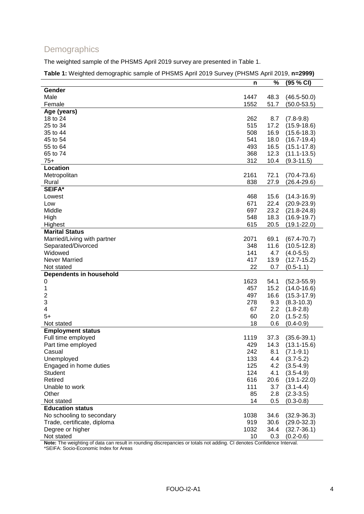### <span id="page-3-0"></span>**Demographics**

The weighted sample of the PHSMS April 2019 survey are presented in [Table 1.](#page-3-1)

<span id="page-3-1"></span>**Table 1:** Weighted demographic sample of PHSMS April 2019 Survey (PHSMS April 2019, **n=2999)**

|                             | n    | %    | (95 % CI)       |
|-----------------------------|------|------|-----------------|
| Gender                      |      |      |                 |
| Male                        | 1447 | 48.3 | $(46.5 - 50.0)$ |
| Female                      | 1552 | 51.7 | $(50.0 - 53.5)$ |
| Age (years)                 |      |      |                 |
| 18 to 24                    | 262  | 8.7  | $(7.8-9.8)$     |
| 25 to 34                    | 515  | 17.2 | $(15.9 - 18.6)$ |
| 35 to 44                    | 508  | 16.9 | $(15.6 - 18.3)$ |
| 45 to 54                    | 541  | 18.0 | $(16.7 - 19.4)$ |
| 55 to 64                    | 493  | 16.5 | $(15.1 - 17.8)$ |
| 65 to 74                    | 368  | 12.3 | $(11.1 - 13.5)$ |
| $75+$                       | 312  | 10.4 | $(9.3 - 11.5)$  |
| Location                    |      |      |                 |
| Metropolitan                | 2161 | 72.1 | $(70.4 - 73.6)$ |
| Rural                       | 838  | 27.9 | $(26.4 - 29.6)$ |
| SEIFA*                      |      |      |                 |
| Lowest                      | 468  | 15.6 | $(14.3 - 16.9)$ |
| Low                         | 671  | 22.4 | $(20.9 - 23.9)$ |
| Middle                      | 697  |      |                 |
|                             |      | 23.2 | $(21.8 - 24.8)$ |
| High                        | 548  | 18.3 | $(16.9 - 19.7)$ |
| Highest                     | 615  | 20.5 | $(19.1 - 22.0)$ |
| <b>Marital Status</b>       |      |      |                 |
| Married/Living with partner | 2071 | 69.1 | $(67.4 - 70.7)$ |
| Separated/Divorced          | 348  | 11.6 | $(10.5 - 12.8)$ |
| Widowed                     | 141  | 4.7  | $(4.0 - 5.5)$   |
| Never Married               | 417  | 13.9 | $(12.7 - 15.2)$ |
| Not stated                  | 22   | 0.7  | $(0.5 - 1.1)$   |
| Dependents in household     |      |      |                 |
| 0                           | 1623 | 54.1 | $(52.3 - 55.9)$ |
| 1                           | 457  | 15.2 | $(14.0 - 16.6)$ |
| 2                           | 497  | 16.6 | $(15.3 - 17.9)$ |
| 3                           | 278  | 9.3  | $(8.3 - 10.3)$  |
| 4                           | 67   | 2.2  | $(1.8 - 2.8)$   |
| $5+$                        | 60   | 2.0  | $(1.5 - 2.5)$   |
| Not stated                  | 18   | 0.6  | $(0.4 - 0.9)$   |
| <b>Employment status</b>    |      |      |                 |
| Full time employed          | 1119 | 37.3 | $(35.6 - 39.1)$ |
| Part time employed          | 429  | 14.3 | $(13.1 - 15.6)$ |
| Casual                      | 242  | 8.1  | $(7.1 - 9.1)$   |
| Unemployed                  | 133  | 4.4  | $(3.7 - 5.2)$   |
| Engaged in home duties      | 125  | 4.2  | $(3.5-4.9)$     |
| <b>Student</b>              | 124  | 4.1  | $(3.5-4.9)$     |
| Retired                     | 616  | 20.6 | $(19.1 - 22.0)$ |
| Unable to work              | 111  | 3.7  | $(3.1 - 4.4)$   |
| Other                       | 85   | 2.8  | $(2.3 - 3.5)$   |
| Not stated                  | 14   | 0.5  | $(0.3 - 0.8)$   |
| <b>Education status</b>     |      |      |                 |
| No schooling to secondary   | 1038 | 34.6 | $(32.9 - 36.3)$ |
| Trade, certificate, diploma | 919  | 30.6 | $(29.0 - 32.3)$ |
| Degree or higher            | 1032 | 34.4 | $(32.7 - 36.1)$ |
| Not stated                  | 10   | 0.3  | $(0.2 - 0.6)$   |
|                             |      |      |                 |

**Note:** The weighting of data can result in rounding discrepancies or totals not adding. CI denotes Confidence Interval.

\*SEIFA: Socio-Economic Index for Areas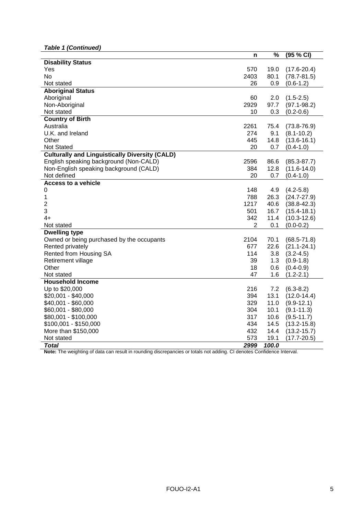*Table 1 (Continued)*

|                                                       | n              | %     | (95 % CI)       |
|-------------------------------------------------------|----------------|-------|-----------------|
| <b>Disability Status</b>                              |                |       |                 |
| Yes                                                   | 570            | 19.0  | $(17.6 - 20.4)$ |
| <b>No</b>                                             | 2403           | 80.1  | $(78.7 - 81.5)$ |
| Not stated                                            | 26             | 0.9   | $(0.6-1.2)$     |
| <b>Aboriginal Status</b>                              |                |       |                 |
| Aboriginal                                            | 60             | 2.0   | $(1.5 - 2.5)$   |
| Non-Aboriginal                                        | 2929           | 97.7  | $(97.1 - 98.2)$ |
| Not stated                                            | 10             | 0.3   | $(0.2 - 0.6)$   |
| <b>Country of Birth</b>                               |                |       |                 |
| Australia                                             | 2261           | 75.4  | $(73.8 - 76.9)$ |
| U.K. and Ireland                                      | 274            | 9.1   | $(8.1 - 10.2)$  |
| Other                                                 | 445            | 14.8  | $(13.6 - 16.1)$ |
| Not Stated                                            | 20             | 0.7   | $(0.4-1.0)$     |
| <b>Culturally and Linguistically Diversity (CALD)</b> |                |       |                 |
| English speaking background (Non-CALD)                | 2596           | 86.6  | $(85.3 - 87.7)$ |
| Non-English speaking background (CALD)                | 384            | 12.8  | $(11.6 - 14.0)$ |
| Not defined                                           | 20             | 0.7   | $(0.4-1.0)$     |
| <b>Access to a vehicle</b>                            |                |       |                 |
| 0                                                     | 148            | 4.9   | $(4.2 - 5.8)$   |
| 1                                                     | 788            | 26.3  | $(24.7 - 27.9)$ |
| $\overline{2}$                                        | 1217           | 40.6  | $(38.8 - 42.3)$ |
| 3                                                     | 501            | 16.7  | $(15.4 - 18.1)$ |
| $4+$                                                  | 342            | 11.4  | $(10.3 - 12.6)$ |
| Not stated                                            | $\overline{2}$ | 0.1   | $(0.0 - 0.2)$   |
| <b>Dwelling type</b>                                  |                |       |                 |
| Owned or being purchased by the occupants             | 2104           | 70.1  | $(68.5 - 71.8)$ |
| Rented privately                                      | 677            | 22.6  | $(21.1 - 24.1)$ |
| Rented from Housing SA                                | 114            | 3.8   | $(3.2 - 4.5)$   |
| Retirement village                                    | 39             | 1.3   | $(0.9-1.8)$     |
| Other                                                 | 18             | 0.6   | $(0.4 - 0.9)$   |
| Not stated                                            | 47             | 1.6   | $(1.2 - 2.1)$   |
| <b>Household Income</b>                               |                |       |                 |
| Up to \$20,000                                        | 216            | 7.2   | $(6.3 - 8.2)$   |
| \$20,001 - \$40,000                                   | 394            | 13.1  | $(12.0 - 14.4)$ |
| \$40,001 - \$60,000                                   | 329            | 11.0  | $(9.9 - 12.1)$  |
| \$60,001 - \$80,000                                   | 304            | 10.1  | $(9.1 - 11.3)$  |
| \$80,001 - \$100,000                                  | 317            | 10.6  | $(9.5 - 11.7)$  |
| $$100,001 - $150,000$                                 | 434            | 14.5  | $(13.2 - 15.8)$ |
| More than \$150,000                                   | 432            | 14.4  | $(13.2 - 15.7)$ |
| Not stated                                            | 573            | 19.1  | $(17.7 - 20.5)$ |
| <b>Total</b>                                          | 2999           | 100.0 |                 |

**Note:** The weighting of data can result in rounding discrepancies or totals not adding. CI denotes Confidence Interval.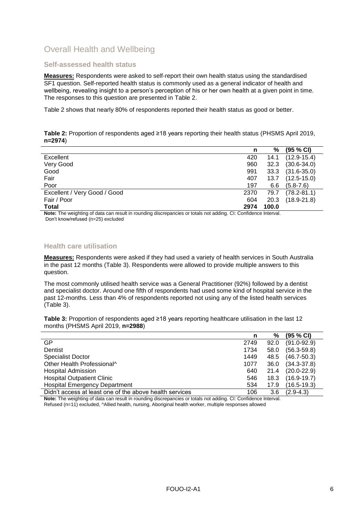# <span id="page-5-0"></span>Overall Health and Wellbeing

#### <span id="page-5-1"></span>**Self-assessed health status**

**Measures:** Respondents were asked to self-report their own health status using the standardised SF1 question. Self-reported health status is commonly used as a general indicator of health and wellbeing, revealing insight to a person's perception of his or her own health at a given point in time. The responses to this question are presented in [Table 2.](#page-5-3)

[Table 2](#page-5-3) shows that nearly 80% of respondents reported their health status as good or better.

#### <span id="page-5-3"></span>**Table 2:** Proportion of respondents aged ≥18 years reporting their health status (PHSMS April 2019, **n=2974**)

|                              | n    | %     | (95 % CI)       |
|------------------------------|------|-------|-----------------|
| Excellent                    | 420  | 14.1  | $(12.9 - 15.4)$ |
| Very Good                    | 960  | 32.3  | $(30.6 - 34.0)$ |
| Good                         | 991  | 33.3  | $(31.6 - 35.0)$ |
| Fair                         | 407  | 13.7  | $(12.5 - 15.0)$ |
| Poor                         | 197  | 6.6   | $(5.8 - 7.6)$   |
| Excellent / Very Good / Good | 2370 | 79.7  | $(78.2 - 81.1)$ |
| Fair / Poor                  | 604  | 20.3  | $(18.9 - 21.8)$ |
| Total<br>.<br>.              | 2974 | 100.0 |                 |

**Note:** The weighting of data can result in rounding discrepancies or totals not adding. CI: Confidence Interval. Don't know/refused (n=25) excluded

#### <span id="page-5-2"></span>**Health care utilisation**

**Measures:** Respondents were asked if they had used a variety of health services in South Australia in the past 12 months [\(Table 3\)](#page-5-4). Respondents were allowed to provide multiple answers to this question.

The most commonly utilised health service was a General Practitioner (92%) followed by a dentist and specialist doctor. Around one fifth of respondents had used some kind of hospital service in the past 12-months. Less than 4% of respondents reported not using any of the listed health services [\(Table 3\)](#page-5-4).

<span id="page-5-4"></span>**Table 3:** Proportion of respondents aged ≥18 years reporting healthcare utilisation in the last 12 months (PHSMS April 2019, **n=2988**)

|                                                         | n    | %    | (95 % CI)       |
|---------------------------------------------------------|------|------|-----------------|
| GP                                                      | 2749 | 92.0 | $(91.0 - 92.9)$ |
| Dentist                                                 | 1734 | 58.0 | $(56.3 - 59.8)$ |
| <b>Specialist Doctor</b>                                | 1449 | 48.5 | $(46.7 - 50.3)$ |
| Other Health Professional^                              | 1077 | 36.0 | $(34.3 - 37.8)$ |
| <b>Hospital Admission</b>                               | 640  | 21.4 | $(20.0 - 22.9)$ |
| <b>Hospital Outpatient Clinic</b>                       | 546  | 18.3 | $(16.9 - 19.7)$ |
| <b>Hospital Emergency Department</b>                    | 534  | 17.9 | $(16.5 - 19.3)$ |
| Didn't access at least one of the above health services | 106  | 3.6  | $(2.9 - 4.3)$   |

**Note:** The weighting of data can result in rounding discrepancies or totals not adding. CI: Confidence Interval. Refused (n=11) excluded, ^Allied health, nursing, Aboriginal health worker, multiple responses allowed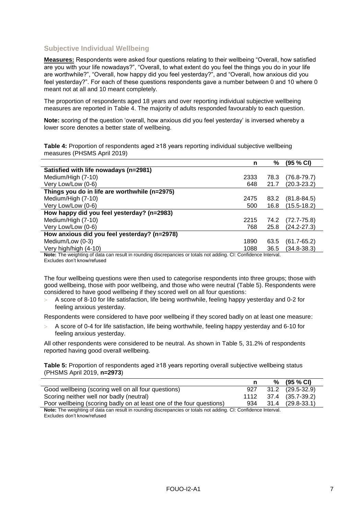### <span id="page-6-0"></span>**Subjective Individual Wellbeing**

**Measures:** Respondents were asked four questions relating to their wellbeing "Overall, how satisfied are you with your life nowadays?", "Overall, to what extent do you feel the things you do in your life are worthwhile?", "Overall, how happy did you feel yesterday?", and "Overall, how anxious did you feel yesterday?". For each of these questions respondents gave a number between 0 and 10 where 0 meant not at all and 10 meant completely.

The proportion of respondents aged 18 years and over reporting individual subjective wellbeing measures are reported in [Table 4.](#page-6-1) The majority of adults responded favourably to each question.

**Note:** scoring of the question 'overall, how anxious did you feel yesterday' is inversed whereby a lower score denotes a better state of wellbeing.

<span id="page-6-1"></span>**Table 4:** Proportion of respondents aged ≥18 years reporting individual subjective wellbeing measures (PHSMS April 2019)

|                                                                                                                | n    | %    | (95 % CI)       |
|----------------------------------------------------------------------------------------------------------------|------|------|-----------------|
| Satisfied with life nowadays (n=2981)                                                                          |      |      |                 |
| Medium/High (7-10)                                                                                             | 2333 | 78.3 | $(76.8 - 79.7)$ |
| Very Low/Low (0-6)                                                                                             | 648  | 21.7 | $(20.3 - 23.2)$ |
| Things you do in life are worthwhile (n=2975)                                                                  |      |      |                 |
| Medium/High (7-10)                                                                                             | 2475 | 83.2 | $(81.8 - 84.5)$ |
| Very Low/Low (0-6)                                                                                             | 500  | 16.8 | $(15.5 - 18.2)$ |
| How happy did you feel yesterday? (n=2983)                                                                     |      |      |                 |
| Medium/High (7-10)                                                                                             | 2215 | 74.2 | $(72.7 - 75.8)$ |
| Very Low/Low (0-6)                                                                                             | 768  | 25.8 | $(24.2 - 27.3)$ |
| How anxious did you feel yesterday? (n=2978)                                                                   |      |      |                 |
| Medium/Low (0-3)                                                                                               | 1890 | 63.5 | $(61.7 - 65.2)$ |
| Very high/high (4-10)                                                                                          | 1088 | 36.5 | $(34.8 - 38.3)$ |
| Note: The weighting of data can result in rounding discrepancies or totals not adding. CL: Confidence Interval |      |      |                 |

**Note:** The weighting of data can result in rounding discrepancies or totals not adding. CI: Confidence Interval. Excludes don't know/refused

The four wellbeing questions were then used to categorise respondents into three groups; those with good wellbeing, those with poor wellbeing, and those who were neutral [\(Table 5\)](#page-6-2). Respondents were considered to have good wellbeing if they scored well on all four questions:

 A score of 8-10 for life satisfaction, life being worthwhile, feeling happy yesterday and 0-2 for feeling anxious yesterday.

Respondents were considered to have poor wellbeing if they scored badly on at least one measure:

 A score of 0-4 for life satisfaction, life being worthwhile, feeling happy yesterday and 6-10 for feeling anxious yesterday.

All other respondents were considered to be neutral. As shown in [Table 5,](#page-6-2) 31.2% of respondents reported having good overall wellbeing.

<span id="page-6-2"></span>**Table 5:** Proportion of respondents aged ≥18 years reporting overall subjective wellbeing status (PHSMS April 2019, **n=2973**)

|                                                                                                               |     | % | $(95 \% CI)$          |
|---------------------------------------------------------------------------------------------------------------|-----|---|-----------------------|
| Good wellbeing (scoring well on all four questions)                                                           | 927 |   | 31.2 (29.5-32.9)      |
| Scoring neither well nor badly (neutral)                                                                      |     |   | 1112 37.4 (35.7-39.2) |
| Poor wellbeing (scoring badly on at least one of the four questions)                                          | 934 |   | 31.4 (29.8-33.1)      |
| Nets, The uninhtipe of data can result in reunding discrepancies or totals not adding. Oh Confidence Internal |     |   |                       |

**Note:** The weighting of data can result in rounding discrepancies or totals not adding. CI: Confidence Interval. Excludes don't know/refused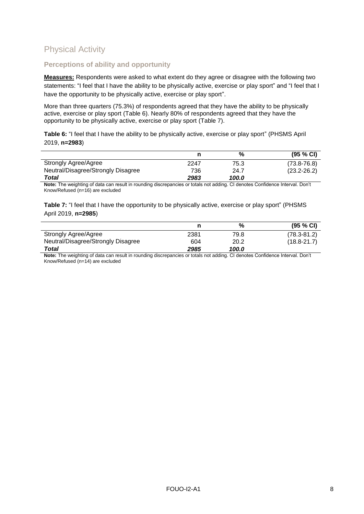# <span id="page-7-0"></span>Physical Activity

### <span id="page-7-1"></span>**Perceptions of ability and opportunity**

**Measures:** Respondents were asked to what extent do they agree or disagree with the following two statements: "I feel that I have the ability to be physically active, exercise or play sport" and "I feel that I have the opportunity to be physically active, exercise or play sport".

More than three quarters (75.3%) of respondents agreed that they have the ability to be physically active, exercise or play sport [\(Table 6\)](#page-7-2). Nearly 80% of respondents agreed that they have the opportunity to be physically active, exercise or play sport [\(Table 7\)](#page-7-3).

<span id="page-7-2"></span>**Table 6:** "I feel that I have the ability to be physically active, exercise or play sport" (PHSMS April 2019, **n=2983**)

|                                    |      | %     | (95 % CI)       |
|------------------------------------|------|-------|-----------------|
| Strongly Agree/Agree               | 2247 | 75.3  | $(73.8 - 76.8)$ |
| Neutral/Disagree/Strongly Disagree | 736  | 24.7  | $(23.2 - 26.2)$ |
| Total                              | 2983 | 100.0 |                 |

**Note:** The weighting of data can result in rounding discrepancies or totals not adding. CI denotes Confidence Interval. Don't Know/Refused (n=16) are excluded

<span id="page-7-3"></span>**Table 7:** "I feel that I have the opportunity to be physically active, exercise or play sport" (PHSMS April 2019, **n=2985**)

|                                    |      | %     | (95 % CI)       |
|------------------------------------|------|-------|-----------------|
| Strongly Agree/Agree               | 2381 | 79.8  | $(78.3 - 81.2)$ |
| Neutral/Disagree/Strongly Disagree | 604  | 20.2  | $(18.8 - 21.7)$ |
| Total                              | 2985 | 100.0 |                 |

**Note:** The weighting of data can result in rounding discrepancies or totals not adding. CI denotes Confidence Interval. Don't Know/Refused (n=14) are excluded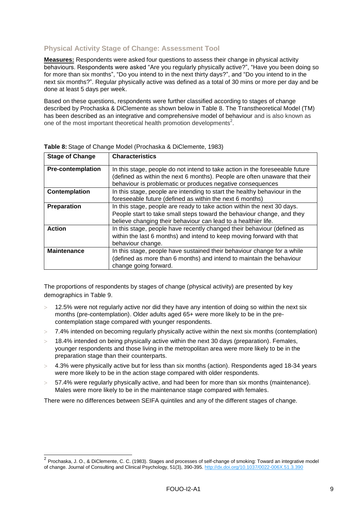### <span id="page-8-0"></span>**Physical Activity Stage of Change: Assessment Tool**

**Measures:** Respondents were asked four questions to assess their change in physical activity behaviours. Respondents were asked "Are you regularly physically active?", "Have you been doing so for more than six months", "Do you intend to in the next thirty days?", and "Do you intend to in the next six months?". Regular physically active was defined as a total of 30 mins or more per day and be done at least 5 days per week.

Based on these questions, respondents were further classified according to stages of change described by Prochaska & DiClemente as shown below in [Table 8.](#page-8-1) The Transtheoretical Model (TM) has been described as an integrative and comprehensive model of behaviour and is also known as one of the most important theoretical health promotion developments<sup>2</sup>.

| <b>Stage of Change</b>   | <b>Characteristics</b>                                                       |
|--------------------------|------------------------------------------------------------------------------|
| <b>Pre-contemplation</b> | In this stage, people do not intend to take action in the foreseeable future |
|                          | (defined as within the next 6 months). People are often unaware that their   |
|                          | behaviour is problematic or produces negative consequences                   |
| Contemplation            | In this stage, people are intending to start the healthy behaviour in the    |
|                          | foreseeable future (defined as within the next 6 months)                     |
| Preparation              | In this stage, people are ready to take action within the next 30 days.      |
|                          | People start to take small steps toward the behaviour change, and they       |
|                          | believe changing their behaviour can lead to a healthier life.               |
| <b>Action</b>            | In this stage, people have recently changed their behaviour (defined as      |
|                          | within the last 6 months) and intend to keep moving forward with that        |
|                          | behaviour change.                                                            |
| <b>Maintenance</b>       | In this stage, people have sustained their behaviour change for a while      |
|                          | (defined as more than 6 months) and intend to maintain the behaviour         |
|                          | change going forward.                                                        |

<span id="page-8-1"></span>**Table 8:** Stage of Change Model (Prochaska & DiClemente, 1983)

The proportions of respondents by stages of change (physical activity) are presented by key demographics in [Table 9.](#page-9-0)

- 12.5% were not regularly active nor did they have any intention of doing so within the next six months (pre-contemplation). Older adults aged 65+ were more likely to be in the precontemplation stage compared with younger respondents.
- 7.4% intended on becoming regularly physically active within the next six months (contemplation)
- 18.4% intended on being physically active within the next 30 days (preparation). Females, younger respondents and those living in the metropolitan area were more likely to be in the preparation stage than their counterparts.
- 4.3% were physically active but for less than six months (action). Respondents aged 18-34 years were more likely to be in the action stage compared with older respondents.
- 57.4% were regularly physically active, and had been for more than six months (maintenance). Males were more likely to be in the maintenance stage compared with females.

There were no differences between SEIFA quintiles and any of the different stages of change.

 2 Prochaska, J. O., & DiClemente, C. C. (1983). Stages and processes of self-change of smoking: Toward an integrative model of change. Journal of Consulting and Clinical Psychology, 51(3), 390-395. [http://dx.doi.org/10.1037/0022-006X.51.3.390](https://psycnet.apa.org/doi/10.1037/0022-006X.51.3.390)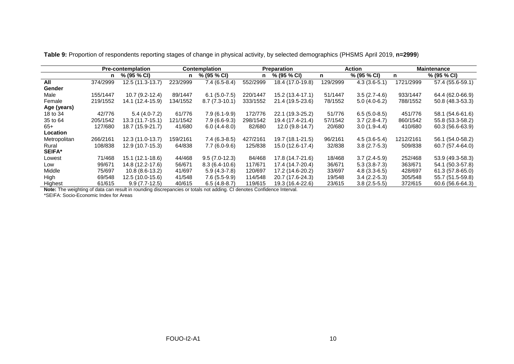|               |          | <b>Pre-contemplation</b> |          | <b>Contemplation</b> |          | <b>Preparation</b> |          | <b>Action</b>  |           | <b>Maintenance</b> |
|---------------|----------|--------------------------|----------|----------------------|----------|--------------------|----------|----------------|-----------|--------------------|
|               | n        | % (95 % CI)              | n        | % (95 % CI)          | n.       | % (95 % CI)        | n.       | % (95 % CI)    | n.        | % (95 % CI)        |
| All           | 374/2999 | 12.5 (11.3-13.7)         | 223/2999 | $7.4(6.5-8.4)$       | 552/2999 | 18.4 (17.0-19.8)   | 129/2999 | $4.3(3.6-5.1)$ | 1721/2999 | 57.4 (55.6-59.1)   |
| Gender        |          |                          |          |                      |          |                    |          |                |           |                    |
| Male          | 155/1447 | $10.7(9.2-12.4)$         | 89/1447  | $6.1(5.0-7.5)$       | 220/1447 | 15.2 (13.4-17.1)   | 51/1447  | $3.5(2.7-4.6)$ | 933/1447  | 64.4 (62.0-66.9)   |
| Female        | 219/1552 | 14.1 (12.4-15.9)         | 134/1552 | $8.7(7.3-10.1)$      | 333/1552 | 21.4 (19.5-23.6)   | 78/1552  | $5.0(4.0-6.2)$ | 788/1552  | 50.8 (48.3-53.3)   |
| Age (years)   |          |                          |          |                      |          |                    |          |                |           |                    |
| 18 to 34      | 42/776   | $5.4(4.0-7.2)$           | 61/776   | $7.9(6.1-9.9)$       | 172/776  | 22.1 (19.3-25.2)   | 51/776   | $6.5(5.0-8.5)$ | 451/776   | 58.1 (54.6-61.6)   |
| 35 to 64      | 205/1542 | 13.3 (11.7-15.1)         | 121/1542 | $7.9(6.6-9.3)$       | 298/1542 | 19.4 (17.4-21.4)   | 57/1542  | $3.7(2.8-4.7)$ | 860/1542  | 55.8 (53.3-58.2)   |
| 65+           | 127/680  | 18.7 (15.9-21.7)         | 41/680   | $6.0(4.4-8.0)$       | 82/680   | 12.0 (9.8-14.7)    | 20/680   | $3.0(1.9-4.4)$ | 410/680   | 60.3 (56.6-63.9)   |
| Location      |          |                          |          |                      |          |                    |          |                |           |                    |
| Metropolitan  | 266/2161 | 12.3 (11.0-13.7)         | 159/2161 | $7.4(6.3-8.5)$       | 427/2161 | 19.7 (18.1-21.5)   | 96/2161  | $4.5(3.6-5.4)$ | 1212/2161 | 56.1 (54.0-58.2)   |
| Rural         | 108/838  | 12.9 (10.7-15.3)         | 64/838   | $7.7(6.0-9.6)$       | 125/838  | 15.0 (12.6-17.4)   | 32/838   | $3.8(2.7-5.3)$ | 509/838   | 60.7 (57.4-64.0)   |
| <b>SEIFA*</b> |          |                          |          |                      |          |                    |          |                |           |                    |
| Lowest        | 71/468   | 15.1 (12.1-18.6)         | 44/468   | $9.5(7.0-12.3)$      | 84/468   | 17.8 (14.7-21.6)   | 18/468   | $3.7(2.4-5.9)$ | 252/468   | 53.9 (49.3-58.3)   |
| Low           | 99/671   | 14.8 (12.2-17.6)         | 56/671   | $8.3(6.4-10.6)$      | 117/671  | 17.4 (14.7-20.4)   | 36/671   | $5.3(3.8-7.3)$ | 363/671   | 54.1 (50.3-57.8)   |
| Middle        | 75/697   | $10.8(8.6-13.2)$         | 41/697   | $5.9(4.3-7.8)$       | 120/697  | 17.2 (14.6-20.2)   | 33/697   | $4.8(3.3-6.5)$ | 428/697   | 61.3 (57.8-65.0)   |
| High          | 69/548   | 12.5 (10.0-15.6)         | 41/548   | $7.6(5.5-9.9)$       | 114/548  | 20.7 (17.6-24.3)   | 19/548   | $3.4(2.2-5.3)$ | 305/548   | 55.7 (51.5-59.8)   |
| Highest       | 61/615   | $9.9(7.7-12.5)$          | 40/615   | $6.5(4.8-8.7)$       | 119/615  | 19.3 (16.4-22.6)   | 23/615   | $3.8(2.5-5.5)$ | 372/615   | 60.6 (56.6-64.3)   |

**Table 9:** Proportion of respondents reporting stages of change in physical activity, by selected demographics (PHSMS April 2019, **n=2999**)

**Note:** The weighting of data can result in rounding discrepancies or totals not adding. CI denotes Confidence Interval.

<span id="page-9-0"></span>\*SEIFA: Socio-Economic Index for Areas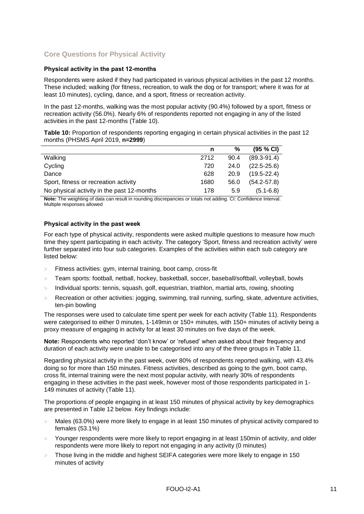### <span id="page-10-0"></span>**Core Questions for Physical Activity**

#### <span id="page-10-1"></span>**Physical activity in the past 12-months**

Respondents were asked if they had participated in various physical activities in the past 12 months. These included; walking (for fitness, recreation, to walk the dog or for transport; where it was for at least 10 minutes), cycling, dance, and a sport, fitness or recreation activity.

In the past 12-months, walking was the most popular activity (90.4%) followed by a sport, fitness or recreation activity (56.0%). Nearly 6% of respondents reported not engaging in any of the listed activities in the past 12-months [\(Table 10\)](#page-10-3).

<span id="page-10-3"></span>**Table 10:** Proportion of respondents reporting engaging in certain physical activities in the past 12 months (PHSMS April 2019, **n=2999**)

|                                            | n    | %    | $(95 \% C)$     |
|--------------------------------------------|------|------|-----------------|
| Walking                                    | 2712 | 90.4 | $(89.3 - 91.4)$ |
| Cycling                                    | 720  | 24.0 | $(22.5 - 25.6)$ |
| Dance                                      | 628  | 20.9 | $(19.5 - 22.4)$ |
| Sport, fitness or recreation activity      | 1680 | 56.0 | $(54.2 - 57.8)$ |
| No physical activity in the past 12-months | 178  | 5.9  | $(5.1 - 6.8)$   |

**Note:** The weighting of data can result in rounding discrepancies or totals not adding. CI: Confidence Interval. Multiple responses allowed

#### <span id="page-10-2"></span>**Physical activity in the past week**

For each type of physical activity, respondents were asked multiple questions to measure how much time they spent participating in each activity. The category 'Sport, fitness and recreation activity' were further separated into four sub categories. Examples of the activities within each sub category are listed below:

- Fitness activities: gym, internal training, boot camp, cross-fit
- Team sports: football, netball, hockey, basketball, soccer, baseball/softball, volleyball, bowls
- $>$  Individual sports: tennis, squash, golf, equestrian, triathlon, martial arts, rowing, shooting
- Recreation or other activities: jogging, swimming, trail running, surfing, skate, adventure activities, ten-pin bowling

The responses were used to calculate time spent per week for each activity [\(Table 11\)](#page-11-0). Respondents were categorised to either 0 minutes, 1-149min or 150+ minutes, with 150+ minutes of activity being a proxy measure of engaging in activity for at least 30 minutes on five days of the week.

**Note:** Respondents who reported 'don't know' or 'refused' when asked about their frequency and duration of each activity were unable to be categorised into any of the three groups in [Table 11.](#page-11-0)

Regarding physical activity in the past week, over 80% of respondents reported walking, with 43.4% doing so for more than 150 minutes. Fitness activities, described as going to the gym, boot camp, cross fit, internal training were the next most popular activity, with nearly 30% of respondents engaging in these activities in the past week, however most of those respondents participated in 1- 149 minutes of activity [\(Table 11\)](#page-11-0).

The proportions of people engaging in at least 150 minutes of physical activity by key demographics are presented in [Table 12](#page-11-1) below. Key findings include:

- Males (63.0%) were more likely to engage in at least 150 minutes of physical activity compared to females (53.1%)
- Younger respondents were more likely to report engaging in at least 150min of activity, and older respondents were more likely to report not engaging in any activity (0 minutes)
- Those living in the middle and highest SEIFA categories were more likely to engage in 150 minutes of activity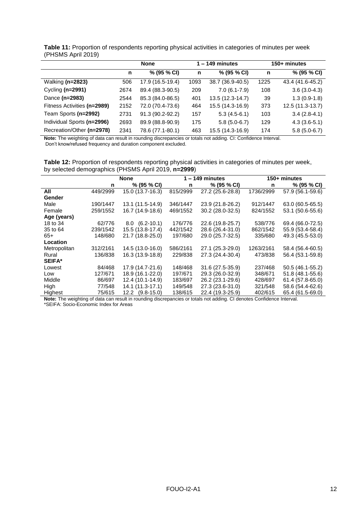|                             | <b>None</b> |                  |      | $1 - 149$ minutes | 150+ minutes |                  |  |
|-----------------------------|-------------|------------------|------|-------------------|--------------|------------------|--|
|                             | n           | % (95 % CI)      | n    | % (95 % CI)       | n            | % (95 % CI)      |  |
| Walking (n=2823)            | 506         | 17.9 (16.5-19.4) | 1093 | 38.7 (36.9-40.5)  | 1225         | 43.4 (41.6-45.2) |  |
| Cycling $(n=2991)$          | 2674        | 89.4 (88.3-90.5) | 209  | $7.0(6.1-7.9)$    | 108          | $3.6(3.0-4.3)$   |  |
| Dance (n=2983)              | 2544        | 85.3 (84.0-86.5) | 401  | 13.5 (12.3-14.7)  | 39           | $1.3(0.9-1.8)$   |  |
| Fitness Activities (n=2989) | 2152        | 72.0 (70.4-73.6) | 464  | 15.5 (14.3-16.9)  | 373          | 12.5 (11.3-13.7) |  |
| Team Sports (n=2992)        | 2731        | 91.3 (90.2-92.2) | 157  | $5.3(4.5-6.1)$    | 103          | $3.4(2.8-4.1)$   |  |
| Individual Sports (n=2996)  | 2693        | 89.9 (88.8-90.9) | 175  | $5.8(5.0-6.7)$    | 129          | $4.3(3.6-5.1)$   |  |
| Recreation/Other (n=2978)   | 2341        | 78.6 (77.1-80.1) | 463  | 15.5 (14.3-16.9)  | 174          | $5.8(5.0-6.7)$   |  |

<span id="page-11-0"></span>**Table 11:** Proportion of respondents reporting physical activities in categories of minutes per week (PHSMS April 2019)

**Note:** The weighting of data can result in rounding discrepancies or totals not adding. CI: Confidence Interval. Don't know/refused frequency and duration component excluded.

<span id="page-11-1"></span>**Table 12:** Proportion of respondents reporting physical activities in categories of minutes per week, by selected demographics (PHSMS April 2019, **n=2999**)

|               |          | None                   |          | $1 - 149$ minutes |           | 150+ minutes     |
|---------------|----------|------------------------|----------|-------------------|-----------|------------------|
|               | n        | % (95 % CI)            | n        | % (95 % CI)       | n         | $% (95\% CI)$    |
| All           | 449/2999 | 15.0 (13.7-16.3)       | 815/2999 | 27.2 (25.6-28.8)  | 1736/2999 | 57.9 (56.1-59.6) |
| Gender        |          |                        |          |                   |           |                  |
| Male          | 190/1447 | 13.1 (11.5-14.9)       | 346/1447 | 23.9 (21.8-26.2)  | 912/1447  | 63.0 (60.5-65.5) |
| Female        | 259/1552 | 16.7 (14.9-18.6)       | 469/1552 | 30.2 (28.0-32.5)  | 824/1552  | 53.1 (50.6-55.6) |
| Age (years)   |          |                        |          |                   |           |                  |
| 18 to 34      | 62/776   | $8.0(6.2-10.1)$        | 176/776  | 22.6 (19.8-25.7)  | 538/776   | 69.4 (66.0-72.5) |
| 35 to 64      | 239/1542 | 15.5 (13.8-17.4)       | 442/1542 | 28.6 (26.4-31.0)  | 862/1542  | 55.9 (53.4-58.4) |
| 65+           | 148/680  | 21.7 (18.8-25.0)       | 197/680  | 29.0 (25.7-32.5)  | 335/680   | 49.3 (45.5-53.0) |
| Location      |          |                        |          |                   |           |                  |
| Metropolitan  | 312/2161 | 14.5 (13.0-16.0)       | 586/2161 | 27.1 (25.3-29.0)  | 1263/2161 | 58.4 (56.4-60.5) |
| Rural         | 136/838  | 16.3 (13.9-18.8)       | 229/838  | 27.3 (24.4-30.4)  | 473/838   | 56.4 (53.1-59.8) |
| <b>SEIFA*</b> |          |                        |          |                   |           |                  |
| Lowest        | 84/468   | 17.9 (14.7-21.6)       | 148/468  | 31.6 (27.5-35.9)  | 237/468   | 50.5 (46.1-55.2) |
| Low           | 127/671  | 18.9 (16.1-22.0)       | 197/671  | 29.3 (26.0-32.9)  | 348/671   | 51.8 (48.1-55.6) |
| Middle        | 86/697   | 12.4 (10.1-14.9)       | 183/697  | 26.2 (23.1-29.6)  | 428/697   | 61.4 (57.8-65.0) |
| High          | 77/548   | 14.1 (11.3-17.1)       | 149/548  | 27.3 (23.6-31.0)  | 321/548   | 58.6 (54.4-62.6) |
| Highest       | 75/615   | $(9.8 - 15.0)$<br>12.2 | 138/615  | 22.4 (19.3-25.9)  | 402/615   | 65.4 (61.5-69.0) |

**Note:** The weighting of data can result in rounding discrepancies or totals not adding. CI denotes Confidence Interval.

\*SEIFA: Socio-Economic Index for Areas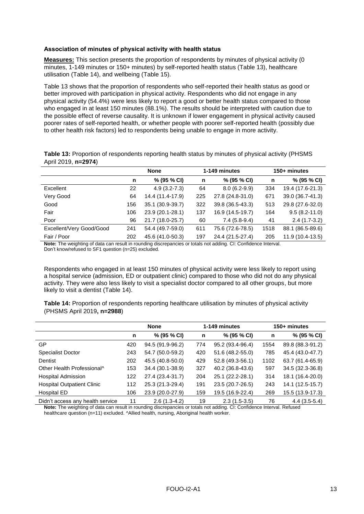#### <span id="page-12-0"></span>**Association of minutes of physical activity with health status**

**Measures:** This section presents the proportion of respondents by minutes of physical activity (0 minutes, 1-149 minutes or 150+ minutes) by self-reported health status [\(Table 13\)](#page-12-1), healthcare utilisation [\(Table 14\)](#page-12-2), and wellbeing [\(Table 15\)](#page-13-0).

[Table 13](#page-12-1) shows that the proportion of respondents who self-reported their health status as good or better improved with participation in physical activity. Respondents who did not engage in any physical activity (54.4%) were less likely to report a good or better health status compared to those who engaged in at least 150 minutes (88.1%). The results should be interpreted with caution due to the possible effect of reverse causality. It is unknown if lower engagement in physical activity caused poorer rates of self-reported health, or whether people with poorer self-reported health (possibly due to other health risk factors) led to respondents being unable to engage in more activity.

<span id="page-12-1"></span>**Table 13:** Proportion of respondents reporting health status by minutes of physical activity (PHSMS April 2019, **n=2974**)

|                          |     | <b>None</b>      |     | 1-149 minutes    | 150+ minutes |                   |
|--------------------------|-----|------------------|-----|------------------|--------------|-------------------|
|                          | n   | % (95 % CI)      | n   | % (95 % CI)      | n            | % (95 % CI)       |
| Excellent                | 22  | $4.9(3.2 - 7.3)$ | 64  | $8.0(6.2-9.9)$   | 334          | 19.4 (17.6-21.3)  |
| Very Good                | 64  | 14.4 (11.4-17.9) | 225 | 27.8 (24.8-31.0) | 671          | 39.0 (36.7-41.3)  |
| Good                     | 156 | 35.1 (30.9-39.7) | 322 | 39.8 (36.5-43.3) | 513          | 29.8 (27.6-32.0)  |
| Fair                     | 106 | 23.9 (20.1-28.1) | 137 | 16.9 (14.5-19.7) | 164          | $9.5(8.2 - 11.0)$ |
| Poor                     | 96  | 21.7 (18.0-25.7) | 60  | $7.4(5.8-9.4)$   | 41           | $2.4(1.7-3.2)$    |
| Excellent/Very Good/Good | 241 | 54.4 (49.7-59.0) | 611 | 75.6 (72.6-78.5) | 1518         | 88.1 (86.5-89.6)  |
| Fair / Poor              | 202 | 45.6 (41.0-50.3) | 197 | 24.4 (21.5-27.4) | 205          | 11.9 (10.4-13.5)  |

**Note:** The weighting of data can result in rounding discrepancies or totals not adding. CI: Confidence Interval. Don't know/refused to SF1 question (n=25) excluded.

Respondents who engaged in at least 150 minutes of physical activity were less likely to report using a hospital service (admission, ED or outpatient clinic) compared to those who did not do any physical activity. They were also less likely to visit a specialist doctor compared to all other groups, but more likely to visit a dentist [\(Table 14\)](#page-12-2).

<span id="page-12-2"></span>**Table 14:** Proportion of respondents reporting healthcare utilisation by minutes of physical activity (PHSMS April 2019**, n=2988**)

|                                        |     | <b>None</b>      |     | 1-149 minutes    | 150+ minutes |                  |
|----------------------------------------|-----|------------------|-----|------------------|--------------|------------------|
|                                        | n   | % (95 % CI)      | n   | % (95 % CI)      | n            | % (95 % CI)      |
| GP                                     | 420 | 94.5 (91.9-96.2) | 774 | 95.2 (93.4-96.4) | 1554         | 89.8 (88.3-91.2) |
| <b>Specialist Doctor</b>               | 243 | 54.7 (50.0-59.2) | 420 | 51.6 (48.2-55.0) | 785          | 45.4 (43.0-47.7) |
| Dentist                                | 202 | 45.5 (40.8-50.0) | 429 | 52.8 (49.3-56.1) | 1102         | 63.7 (61.4-65.9) |
| Other Health Professional <sup>^</sup> | 153 | 34.4 (30.1-38.9) | 327 | 40.2 (36.8-43.6) | 597          | 34.5 (32.3-36.8) |
| <b>Hospital Admission</b>              | 122 | 27.4 (23.4-31.7) | 204 | 25.1 (22.2-28.1) | 314          | 18.1 (16.4-20.0) |
| <b>Hospital Outpatient Clinic</b>      | 112 | 25.3 (21.3-29.4) | 191 | 23.5 (20.7-26.5) | 243          | 14.1 (12.5-15.7) |
| Hospital ED                            | 106 | 23.9 (20.0-27.9) | 159 | 19.5 (16.9-22.4) | 269          | 15.5 (13.9-17.3) |
| Didn't access any health service       | 11  | $2.6(1.3-4.2)$   | 19  | $2.3(1.5-3.5)$   | 76           | $4.4(3.5-5.4)$   |

**Note:** The weighting of data can result in rounding discrepancies or totals not adding. CI: Confidence Interval. Refused healthcare question (n=11) excluded. ^Allied health, nursing, Aboriginal health worker.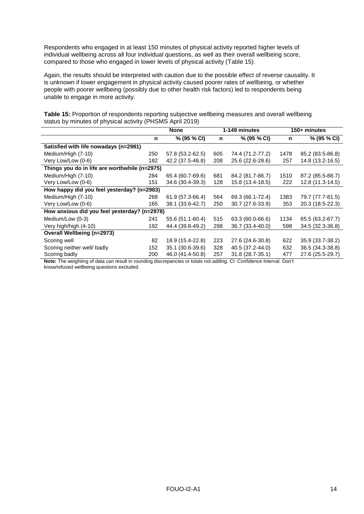Respondents who engaged in at least 150 minutes of physical activity reported higher levels of individual wellbeing across all four individual questions, as well as their overall wellbeing score, compared to those who engaged in lower levels of physical activity [\(Table 15\)](#page-13-0).

Again, the results should be interpreted with caution due to the possible effect of reverse causality. It is unknown if lower engagement in physical activity caused poorer rates of wellbeing, or whether people with poorer wellbeing (possibly due to other health risk factors) led to respondents being unable to engage in more activity.

<span id="page-13-0"></span>

|  | Table 15: Proportion of respondents reporting subjective wellbeing measures and overall wellbeing |  |  |  |
|--|---------------------------------------------------------------------------------------------------|--|--|--|
|  | status by minutes of physical activity (PHSMS April 2019)                                         |  |  |  |

|                                               | <b>None</b> |                       |     | 1-149 minutes                                          |                      | 150+ minutes     |  |  |
|-----------------------------------------------|-------------|-----------------------|-----|--------------------------------------------------------|----------------------|------------------|--|--|
|                                               | n           | % (95 % CI)           | n   | % (95 % CI)                                            | n                    | % (95 % CI)      |  |  |
| Satisfied with life nowadays (n=2981)         |             |                       |     |                                                        |                      |                  |  |  |
| Medium/High (7-10)                            | 250         | 57.8 (53.2-62.5)      | 605 | 74.4 (71.2-77.2)                                       | 1478                 | 85.2 (83.5-86.8) |  |  |
| Very Low/Low (0-6)                            | 182         | 42.2 (37.5-46.8)      | 208 | 25.6 (22.6-28.6)                                       | 257                  | 14.8 (13.2-16.5) |  |  |
| Things you do in life are worthwhile (n=2975) |             |                       |     |                                                        |                      |                  |  |  |
| Medium/High (7-10)                            | 284         | 65.4 (60.7-69.6)      | 681 | 84.2 (81.7-86.7)                                       | 1510                 | 87.2 (85.5-88.7) |  |  |
| Very Low/Low (0-6)                            | 151         | 34.6 (30.4-39.3)      | 128 | 15.8 (13.4-18.5)                                       | 222                  | 12.8 (11.3-14.5) |  |  |
| How happy did you feel yesterday? (n=2983)    |             |                       |     |                                                        |                      |                  |  |  |
| Medium/High (7-10)                            | 268         | 61.9 (57.3-66.4)      | 564 | 69.3 (66.1-72.4)                                       | 1383                 | 79.7 (77.7-81.5) |  |  |
| Very Low/Low (0-6)                            | 165         | 38.1 (33.6-42.7)      | 250 | 30.7 (27.6-33.9)                                       | 353                  | 20.3 (18.5-22.3) |  |  |
| How anxious did you feel yesterday? (n=2978)  |             |                       |     |                                                        |                      |                  |  |  |
| Medium/Low (0-3)                              | 241         | 55.6 (51.1-60.4)      | 515 | 63.3 (60.0-66.6)                                       | 1134                 | 65.5 (63.2-67.7) |  |  |
| Very high/high (4-10)                         | 192         | 44.4 (39.8-49.2)      | 298 | 36.7 (33.4-40.0)                                       | 598                  | 34.5 (32.3-36.8) |  |  |
| <b>Overall Wellbeing (n=2973)</b>             |             |                       |     |                                                        |                      |                  |  |  |
| Scoring well                                  | 82          | 18.9 (15.4-22.8)      | 223 | 27.6 (24.6-30.8)                                       | 622                  | 35.9 (33.7-38.2) |  |  |
| Scoring neither well/ badly                   | 152         | 35.1 (30.6-39.6)      | 328 | 40.5 (37.2-44.0)                                       | 632                  | 36.5 (34.3-38.8) |  |  |
| Scoring badly<br>$\cdots$<br>. . <del>.</del> | 200         | 46.0 (41.4-50.8)<br>. | 257 | 31.8 (28.7-35.1)<br>$\sim$ $\sim$ $\sim$ $\sim$ $\sim$ | 477<br>$\sim$ $\sim$ | 27.6 (25.5-29.7) |  |  |

**Note:** The weighting of data can result in rounding discrepancies or totals not adding. CI: Confidence Interval. Don't know/refused wellbeing questions excluded.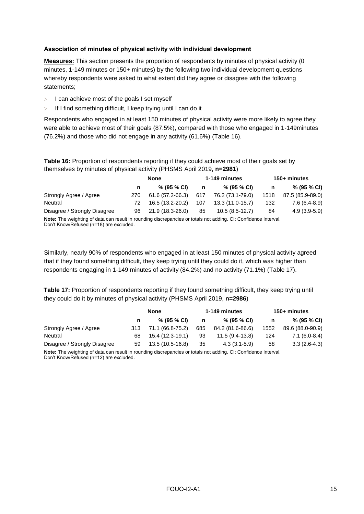#### <span id="page-14-0"></span>**Association of minutes of physical activity with individual development**

**Measures:** This section presents the proportion of respondents by minutes of physical activity (0 minutes, 1-149 minutes or 150+ minutes) by the following two individual development questions whereby respondents were asked to what extent did they agree or disagree with the following statements;

- $>$  I can achieve most of the goals I set myself
- $>$  If I find something difficult, I keep trying until I can do it

Respondents who engaged in at least 150 minutes of physical activity were more likely to agree they were able to achieve most of their goals (87.5%), compared with those who engaged in 1-149minutes (76.2%) and those who did not engage in any activity (61.6%) [\(Table 16\)](#page-14-1).

<span id="page-14-1"></span>**Table 16:** Proportion of respondents reporting if they could achieve most of their goals set by themselves by minutes of physical activity (PHSMS April 2019, **n=2981**)

|                              | None |                  |     | 1-149 minutes     | 150+ minutes |                  |
|------------------------------|------|------------------|-----|-------------------|--------------|------------------|
|                              | n    | $% (95\% CI)$    | n   | $% (95\% CI)$     | n            | % (95 % CI)      |
| Strongly Agree / Agree       | 270  | 61.6 (57.2-66.3) | 617 | 76.2 (73.1-79.0)  | 1518         | 87.5 (85.9-89.0) |
| Neutral                      | 72.  | 16.5 (13.2-20.2) | 107 | $13.3(11.0-15.7)$ | 132          | 7.6 (6.4-8.9)    |
| Disagree / Strongly Disagree | 96   | 21.9 (18.3-26.0) | 85  | $10.5(8.5-12.7)$  | 84           | $4.9(3.9-5.9)$   |

**Note:** The weighting of data can result in rounding discrepancies or totals not adding. CI: Confidence Interval. Don't Know/Refused (n=18) are excluded.

Similarly, nearly 90% of respondents who engaged in at least 150 minutes of physical activity agreed that if they found something difficult, they keep trying until they could do it, which was higher than respondents engaging in 1-149 minutes of activity (84.2%) and no activity (71.1%) [\(Table 17\)](#page-14-2).

<span id="page-14-2"></span>**Table 17:** Proportion of respondents reporting if they found something difficult, they keep trying until they could do it by minutes of physical activity (PHSMS April 2019, **n=2986**)

|                              |     | <b>None</b>      |     | 1-149 minutes    | 150+ minutes |                  |
|------------------------------|-----|------------------|-----|------------------|--------------|------------------|
|                              | n   | % (95 % CI)      | n   | % (95 % CI)      | n            | % (95 % CI)      |
| Strongly Agree / Agree       | 313 | 71.1 (66.8-75.2) | 685 | 84.2 (81.6-86.6) | 1552         | 89.6 (88.0-90.9) |
| Neutral                      | 68  | 15.4 (12.3-19.1) | 93  | 11.5 (9.4-13.8)  | 124          | $7.1(6.0-8.4)$   |
| Disagree / Strongly Disagree | 59  | 13.5 (10.5-16.8) | 35  | $4.3(3.1-5.9)$   | 58           | $3.3(2.6-4.3)$   |

**Note:** The weighting of data can result in rounding discrepancies or totals not adding. CI: Confidence Interval. Don't Know/Refused (n=12) are excluded.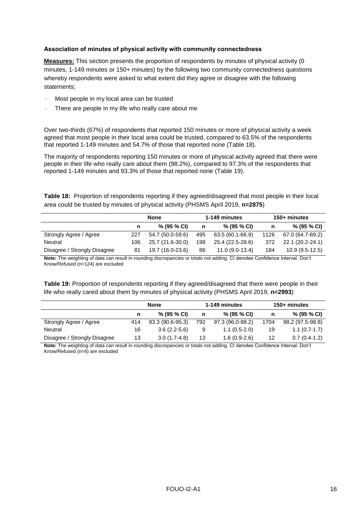#### <span id="page-15-0"></span>**Association of minutes of physical activity with community connectedness**

**Measures:** This section presents the proportion of respondents by minutes of physical activity (0 minutes, 1-149 minutes or 150+ minutes) by the following two community connectedness questions whereby respondents were asked to what extent did they agree or disagree with the following statements;

- Most people in my local area can be trusted
- There are people in my life who really care about me

Over two-thirds (67%) of respondents that reported 150 minutes or more of physical activity a week agreed that most people in their local area could be trusted, compared to 63.5% of the respondents that reported 1-149 minutes and 54.7% of those that reported none [\(Table 18\)](#page-15-1).

The majority of respondents reporting 150 minutes or more of physical activity agreed that there were people in their life who really care about them (98.2%), compared to 97.3% of the respondents that reported 1-149 minutes and 93.3% of those that reported none [\(Table 19\)](#page-15-2).

<span id="page-15-1"></span>**Table 18:** Proportion of respondents reporting if they agreed/disagreed that most people in their local area could be trusted by minutes of physical activity (PHSMS April 2019, **n=2875**)

|                              | <b>None</b> |                  |     | 1-149 minutes    |      | 150+ minutes     |  |
|------------------------------|-------------|------------------|-----|------------------|------|------------------|--|
|                              |             | $% (95\% CI)$    | n   | $% (95\% CI)$    | n    | $% (95\% CI)$    |  |
| Strongly Agree / Agree       | 227         | 54.7 (50.0-59.6) | 495 | 63.5 (60.1-66.9) | 1126 | 67.0 (64.7-69.2) |  |
| Neutral                      | 106         | 25.7 (21.6-30.0) | 198 | 25.4 (22.5-28.6) | 372  | 22.1 (20.2-24.1) |  |
| Disagree / Strongly Disagree | 81          | 19.7 (16.0-23.6) | 86  | $11.0(9.0-13.4)$ | 184  | $10.9(9.5-12.5)$ |  |

**Note:** The weighting of data can result in rounding discrepancies or totals not adding. CI denotes Confidence Interval. Don't Know/Refused (n=124) are excluded

<span id="page-15-2"></span>**Table 19:** Proportion of respondents reporting if they agreed/disagreed that there were people in their life who really cared about them by minutes of physical activity (PHSMS April 2019, **n=2993**)

|                              | None |                  |     | 1-149 minutes    | 150+ minutes |                  |
|------------------------------|------|------------------|-----|------------------|--------------|------------------|
|                              |      | % (95 % CI)      | n   | % (95 % CI)      |              | % (95 % CI)      |
| Strongly Agree / Agree       | 414  | 93.3 (90.6-95.3) | 792 | 97.3 (96.0-98.2) | 1704         | 98.2 (97.5-98.8) |
| Neutral                      | 16   | $3.6(2.2-5.6)$   | 9   | $1.1(0.5-2.0)$   | 19           | $1.1(0.7-1.7)$   |
| Disagree / Strongly Disagree | 13   | $3.0(1.7-4.8)$   | 13  | $1.6(0.9-2.6)$   | 12           | $0.7(0.4-1.2)$   |

**Note:** The weighting of data can result in rounding discrepancies or totals not adding. CI denotes Confidence Interval. Don't Know/Refused (n=6) are excluded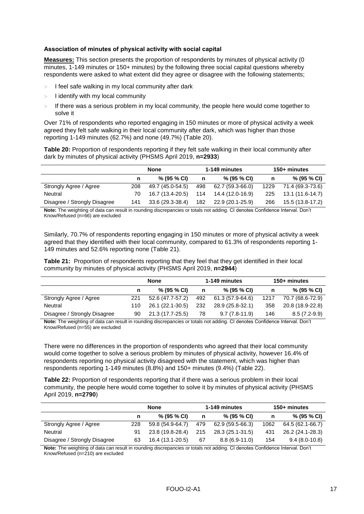#### <span id="page-16-0"></span>**Association of minutes of physical activity with social capital**

**Measures:** This section presents the proportion of respondents by minutes of physical activity (0 minutes, 1-149 minutes or 150+ minutes) by the following three social capital questions whereby respondents were asked to what extent did they agree or disagree with the following statements;

- $>$  I feel safe walking in my local community after dark
- $>$  I identify with my local community
- If there was a serious problem in my local community, the people here would come together to solve it

Over 71% of respondents who reported engaging in 150 minutes or more of physical activity a week agreed they felt safe walking in their local community after dark, which was higher than those reporting 1-149 minutes (62.7%) and none (49.7%) [\(Table 20\)](#page-16-1).

<span id="page-16-1"></span>**Table 20:** Proportion of respondents reporting if they felt safe walking in their local community after dark by minutes of physical activity (PHSMS April 2019, **n=2933**)

|                              | None |                  |     | 1-149 minutes    | 150+ minutes |                  |
|------------------------------|------|------------------|-----|------------------|--------------|------------------|
|                              |      | $% (95\% CI)$    | n   | % (95 % CI)      | n            | % (95 % CI)      |
| Strongly Agree / Agree       | 208  | 49.7 (45.0-54.5) | 498 | 62.7 (59.3-66.0) | 1229         | 71.4 (69.3-73.6) |
| Neutral                      | 70.  | 16.7 (13.4-20.5) | 114 | 14.4 (12.0-16.9) | 225          | 13.1 (11.6-14.7) |
| Disagree / Strongly Disagree | 141  | 33.6 (29.3-38.4) | 182 | 22.9 (20.1-25.9) | 266          | 15.5 (13.8-17.2) |

**Note:** The weighting of data can result in rounding discrepancies or totals not adding. CI denotes Confidence Interval. Don't Know/Refused (n=66) are excluded

Similarly, 70.7% of respondents reporting engaging in 150 minutes or more of physical activity a week agreed that they identified with their local community, compared to 61.3% of respondents reporting 1- 149 minutes and 52.6% reporting none [\(Table 21\)](#page-16-2).

<span id="page-16-2"></span>**Table 21:** Proportion of respondents reporting that they feel that they get identified in their local community by minutes of physical activity (PHSMS April 2019, **n=2944**)

|                              |     | None             |     | 1-149 minutes    | 150+ minutes |                  |
|------------------------------|-----|------------------|-----|------------------|--------------|------------------|
|                              | n   | % (95% CI)       | n   | % (95 % CI)      | n            | $% (95\% CI)$    |
| Strongly Agree / Agree       | 221 | 52.6 (47.7-57.2) | 492 | 61.3 (57.9-64.6) | 1217         | 70.7 (68.6-72.9) |
| Neutral                      | 110 | 26.1 (22.1-30.5) | 232 | 28.9 (25.8-32.1) | 358          | 20.8 (18.9-22.8) |
| Disagree / Strongly Disagree | 90  | 21.3 (17.7-25.5) | 78  | $9.7(7.8-11.9)$  | 146          | $8.5(7.2-9.9)$   |

**Note:** The weighting of data can result in rounding discrepancies or totals not adding. CI denotes Confidence Interval. Don't Know/Refused (n=55) are excluded

There were no differences in the proportion of respondents who agreed that their local community would come together to solve a serious problem by minutes of physical activity, however 16.4% of respondents reporting no physical activity disagreed with the statement, which was higher than respondents reporting 1-149 minutes (8.8%) and 150+ minutes (9.4%) [\(Table 22\)](#page-16-3).

<span id="page-16-3"></span>**Table 22:** Proportion of respondents reporting that if there was a serious problem in their local community, the people here would come together to solve it by minutes of physical activity (PHSMS April 2019, **n=2790**)

|                                                                                                                              | <b>None</b> |                  |     | 1-149 minutes    | 150+ minutes |                  |
|------------------------------------------------------------------------------------------------------------------------------|-------------|------------------|-----|------------------|--------------|------------------|
|                                                                                                                              | n           | % (95 % CI)      | n   | % (95% CI)       | n            | % (95 % CI)      |
| Strongly Agree / Agree                                                                                                       | 228         | 59.8 (54.9-64.7) | 479 | 62.9 (59.5-66.3) | 1062         | 64.5 (62.1-66.7) |
| Neutral                                                                                                                      | 91          | 23.8 (19.8-28.4) | 215 | 28.3 (25.1-31.5) | 431          | 26.2 (24.1-28.3) |
| Disagree / Strongly Disagree                                                                                                 | 63          | 16.4 (13.1-20.5) | 67  | $8.8(6.9-11.0)$  | 154          | $9.4(8.0-10.8)$  |
| Note: The weighting of data can result in reunding discrepancies or totals not adding. CL denotes Confidence Interval. Don't |             |                  |     |                  |              |                  |

**Note:** The weighting of data can result in rounding discrepancies or totals not adding. CI denotes Confidence Interval. Don't Know/Refused (n=210) are excluded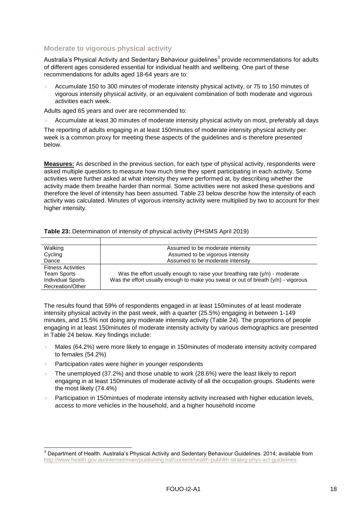### <span id="page-17-0"></span>**Moderate to vigorous physical activity**

Australia's Physical Activity and Sedentary Behaviour guidelines<sup>3</sup> provide recommendations for adults of different ages considered essential for individual health and wellbeing. One part of these recommendations for adults aged 18-64 years are to:

 Accumulate 150 to 300 minutes of moderate intensity physical activity, or 75 to 150 minutes of vigorous intensity physical activity, or an equivalent combination of both moderate and vigorous activities each week.

Adults aged 65 years and over are recommended to:

Accumulate at least 30 minutes of moderate intensity physical activity on most, preferably all days

The reporting of adults engaging in at least 150minutes of moderate intensity physical activity per week is a common proxy for meeting these aspects of the guidelines and is therefore presented below.

**Measures:** As described in the previous section, for each type of physical activity, respondents were asked multiple questions to measure how much time they spent participating in each activity. Some activities were further asked at what intensity they were performed at, by describing whether the activity made them breathe harder than normal. Some activities were not asked these questions and therefore the level of intensity has been assumed. [Table 23](#page-17-1) below describe how the intensity of each activity was calculated. Minutes of vigorous intensity activity were multiplied by two to account for their higher intensity.

| Walking                   | Assumed to be moderate intensity                                                    |
|---------------------------|-------------------------------------------------------------------------------------|
| Cycling                   | Assumed to be vigorous intensity                                                    |
| Dance                     | Assumed to be moderate intensity                                                    |
| <b>Fitness Activities</b> |                                                                                     |
| Team Sports               | Was the effort usually enough to raise your breathing rate $(y/n)$ - moderate       |
| <b>Individual Sports</b>  | Was the effort usually enough to make you sweat or out of breath $(y/n)$ - vigorous |
| Recreation/Other          |                                                                                     |

#### <span id="page-17-1"></span>**Table 23:** Determination of intensity of physical activity (PHSMS April 2019)

The results found that 59% of respondents engaged in at least 150minutes of at least moderate intensity physical activity in the past week, with a quarter (25.5%) engaging in between 1-149 minutes, and 15.5% not doing any moderate intensity activity [\(Table 24\)](#page-18-0). The proportions of people engaging in at least 150minutes of moderate intensity activity by various demographics are presented in [Table 24](#page-18-0) below. Key findings include:

- Males (64.2%) were more likely to engage in 150minutes of moderate intensity activity compared to females (54.2%)
- $>$  Participation rates were higher in younger respondents

1

- The unemployed (37.2%) and those unable to work (28.6%) were the least likely to report engaging in at least 150minutes of moderate activity of all the occupation groups. Students were the most likely (74.4%)
- $>$  Participation in 150 mintues of moderate intensity activity increased with higher education levels. access to more vehicles in the household, and a higher household income

 $3$  Department of Health. Australia's Physical Activity and Sedentary Behaviour Guidelines. 2014; available from <http://www.health.gov.au/internet/main/publishing.nsf/content/health-pubhlth-strateg-phys-act-guidelines>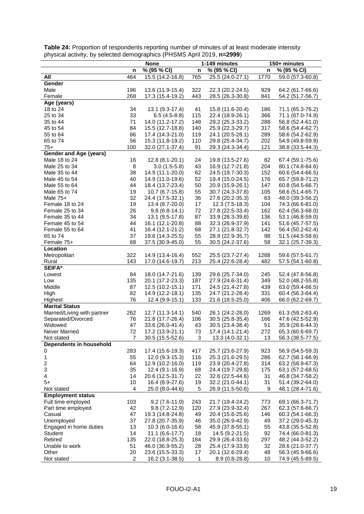| 150+ minutes<br><b>None</b><br>1-149 minutes<br>% (95 % CI)<br>% (95 % CI)<br>% (95 % CI)<br>n<br>n<br>n<br>All<br>464<br>15.5 (14.2-16.8)<br>765<br>25.5 (24.0-27.1)<br>1770<br>59.0 (57.3-60.8)<br>Gender<br>Male<br>196<br>13.6 (11.9-15.4)<br>322<br>22.3 (20.2-24.5)<br>64.2 (61.7-66.6)<br>929<br>268<br>17.3 (15.4-19.2)<br>443<br>28.5 (26.3-30.8)<br>841<br>54.2 (51.7-56.7)<br>Female<br>Age (years)<br>18 to 24<br>34<br>13.1 (9.3-17.4)<br>41<br>15.8 (11.6-20.4)<br>71.1 (65.3-76.2)<br>186<br>33<br>366<br>25 to 34<br>$6.5(4.5-8.8)$<br>115<br>22.4 (18.9-26.1)<br>71.1 (67.0-74.9)<br>71<br>288<br>14.0 (11.2-17.2)<br>148<br>29.2 (25.3-33.2)<br>56.8 (52.4-61.0)<br>35 to 44<br>317<br>84<br>15.5 (12.7-18.8)<br>140<br>25.9 (22.3-29.7)<br>45 to 54<br>58.6 (54.4-62.7)<br>86<br>119<br>289<br>55 to 64<br>17.4 (14.3-21.0)<br>24.1 (20.5-28.1)<br>58.6 (54.2-62.9)<br>56<br>110<br>65 to 74<br>15.3 (11.8-19.2)<br>29.8 (25.4-34.7)<br>202<br>54.9 (49.8-59.9)<br>100<br>91<br>121<br>$75+$<br>32.0 (27.1-37.4)<br>29.3 (24.3-34.4)<br>38.8 (33.5-44.3)<br><b>Gender and Age (years)</b><br>Male 18 to 24<br>16<br>12.8 (8.1-20.1)<br>19.8 (13.5-27.6)<br>82<br>67.4 (59.1-75.6)<br>24<br>8<br>Male 25 to 34<br>$3.0(1.5-5.8)$<br>43<br>16.9 (12.7-21.8)<br>204<br>80.1 (74.8-84.6)<br>38<br>62<br>24.5 (19.7-30.3)<br>152<br>60.6 (54.4-66.5)<br>Male 35 to 44<br>14.9 (11.1-20.0)<br>Male 45 to 54<br>40<br>14.9 (11.0-19.6)<br>52<br>19.4 (15.0-24.5)<br>176<br>65.7 (59.8-71.2)<br>50<br>147<br>Male 55 to 64<br>44<br>18.4 (13.7-23.4)<br>20.9 (15.9-26.1)<br>60.8 (54.5-66.7)<br>19<br>Male 65 to 74<br>10.7 (6.7-15.8)<br>55<br>30.7 (24.3-37.8)<br>105<br>58.6 (51.4-65.7)<br>63<br>Male $75+$<br>32<br>24.4 (17.5-32.1)<br>36<br>27.6 (20.2-35.3)<br>48.0 (39.3-56.2)<br>19<br>17<br>104<br>Female 18 to 24<br>13.4 (8.7-20.0)<br>$12.3(7.5-18.3)$<br>74.3 (66.6-81.0)<br>26<br>72<br>162<br>Female 25 to 34<br>27.8 (22.5-33.4)<br>62.4 (56.3-68.0)<br>$9.8(6.8-14.1)$<br>34<br>Female 35 to 44<br>13.1 (9.5-17.8)<br>87<br>33.9 (28.3-39.8)<br>136<br>53.1 (46.8-59.0)<br>44<br>88<br>141<br>Female 45 to 54<br>16.1 (12.1-20.8)<br>32.3 (26.9-37.9)<br>51.6 (45.7-57.5)<br>68<br>Female 55 to 64<br>41<br>16.4 (12.1-21.2)<br>27.1 (21.8-32.7)<br>142<br>56.4 (50.2-62.4)<br>65 to 74<br>37<br>55<br>98<br>19.6 (14.3-25.5)<br>28.9 (22.9-35.7)<br>51.5 (44.5-58.6)<br>Female 75+<br>68<br>37.5 (30.9-45.0)<br>55<br>30.5 (24.2-37.6)<br>58<br>32.1 (25.7-39.3)<br>Location<br>Metropolitan<br>322<br>14.9 (13.4-16.4)<br>552<br>25.5 (23.7-27.4)<br>1288<br>59.6 (57.5-61.7)<br>143<br>17.0 (14.6-19.7)<br>213<br>25.4 (22.6-28.4)<br>482<br>57.5 (54.1-60.8)<br>Rural<br><b>SEIFA*</b><br>84<br>18.0 (14.7-21.6)<br>139<br>29.6 (25.7-34.0)<br>245<br>52.4 (47.8-56.8)<br>Lowest<br>135<br>20.1 (17.2-23.3)<br>187<br>27.9 (24.6-31.4)<br>349<br>52.0 (48.2-55.8)<br>Low<br>Middle<br>87<br>12.5 (10.2-15.1)<br>171<br>24.5 (21.4-27.8)<br>439<br>63.0 (59.4-66.5)<br>135<br>82<br>14.9 (12.2-18.1)<br>24.7 (21.2-28.4)<br>331<br>60.4 (56.3-64.4)<br>High<br>76<br>133<br>Highest<br>12.4 (9.9-15.1)<br>21.6 (18.5-25.0)<br>406<br>66.0 (62.2-69.7)<br><b>Marital Status</b><br>Married/Living with partner<br>262<br>12.7 (11.3-14.1)<br>540<br>26.1 (24.2-28.0)<br>61.3 (59.2-63.4)<br>1269 |
|----------------------------------------------------------------------------------------------------------------------------------------------------------------------------------------------------------------------------------------------------------------------------------------------------------------------------------------------------------------------------------------------------------------------------------------------------------------------------------------------------------------------------------------------------------------------------------------------------------------------------------------------------------------------------------------------------------------------------------------------------------------------------------------------------------------------------------------------------------------------------------------------------------------------------------------------------------------------------------------------------------------------------------------------------------------------------------------------------------------------------------------------------------------------------------------------------------------------------------------------------------------------------------------------------------------------------------------------------------------------------------------------------------------------------------------------------------------------------------------------------------------------------------------------------------------------------------------------------------------------------------------------------------------------------------------------------------------------------------------------------------------------------------------------------------------------------------------------------------------------------------------------------------------------------------------------------------------------------------------------------------------------------------------------------------------------------------------------------------------------------------------------------------------------------------------------------------------------------------------------------------------------------------------------------------------------------------------------------------------------------------------------------------------------------------------------------------------------------------------------------------------------------------------------------------------------------------------------------------------------------------------------------------------------------------------------------------------------------------------------------------------------------------------------------------------------------------------------------------------------------------------------------------------------------------------------------------------------------------------------------------------------------------------------------------------------------------------------------------------------------------------------------------------------------------------------------------------------------------------------------------------------------------------------------------------------------------|
|                                                                                                                                                                                                                                                                                                                                                                                                                                                                                                                                                                                                                                                                                                                                                                                                                                                                                                                                                                                                                                                                                                                                                                                                                                                                                                                                                                                                                                                                                                                                                                                                                                                                                                                                                                                                                                                                                                                                                                                                                                                                                                                                                                                                                                                                                                                                                                                                                                                                                                                                                                                                                                                                                                                                                                                                                                                                                                                                                                                                                                                                                                                                                                                                                                                                                                                                  |
|                                                                                                                                                                                                                                                                                                                                                                                                                                                                                                                                                                                                                                                                                                                                                                                                                                                                                                                                                                                                                                                                                                                                                                                                                                                                                                                                                                                                                                                                                                                                                                                                                                                                                                                                                                                                                                                                                                                                                                                                                                                                                                                                                                                                                                                                                                                                                                                                                                                                                                                                                                                                                                                                                                                                                                                                                                                                                                                                                                                                                                                                                                                                                                                                                                                                                                                                  |
|                                                                                                                                                                                                                                                                                                                                                                                                                                                                                                                                                                                                                                                                                                                                                                                                                                                                                                                                                                                                                                                                                                                                                                                                                                                                                                                                                                                                                                                                                                                                                                                                                                                                                                                                                                                                                                                                                                                                                                                                                                                                                                                                                                                                                                                                                                                                                                                                                                                                                                                                                                                                                                                                                                                                                                                                                                                                                                                                                                                                                                                                                                                                                                                                                                                                                                                                  |
|                                                                                                                                                                                                                                                                                                                                                                                                                                                                                                                                                                                                                                                                                                                                                                                                                                                                                                                                                                                                                                                                                                                                                                                                                                                                                                                                                                                                                                                                                                                                                                                                                                                                                                                                                                                                                                                                                                                                                                                                                                                                                                                                                                                                                                                                                                                                                                                                                                                                                                                                                                                                                                                                                                                                                                                                                                                                                                                                                                                                                                                                                                                                                                                                                                                                                                                                  |
|                                                                                                                                                                                                                                                                                                                                                                                                                                                                                                                                                                                                                                                                                                                                                                                                                                                                                                                                                                                                                                                                                                                                                                                                                                                                                                                                                                                                                                                                                                                                                                                                                                                                                                                                                                                                                                                                                                                                                                                                                                                                                                                                                                                                                                                                                                                                                                                                                                                                                                                                                                                                                                                                                                                                                                                                                                                                                                                                                                                                                                                                                                                                                                                                                                                                                                                                  |
|                                                                                                                                                                                                                                                                                                                                                                                                                                                                                                                                                                                                                                                                                                                                                                                                                                                                                                                                                                                                                                                                                                                                                                                                                                                                                                                                                                                                                                                                                                                                                                                                                                                                                                                                                                                                                                                                                                                                                                                                                                                                                                                                                                                                                                                                                                                                                                                                                                                                                                                                                                                                                                                                                                                                                                                                                                                                                                                                                                                                                                                                                                                                                                                                                                                                                                                                  |
|                                                                                                                                                                                                                                                                                                                                                                                                                                                                                                                                                                                                                                                                                                                                                                                                                                                                                                                                                                                                                                                                                                                                                                                                                                                                                                                                                                                                                                                                                                                                                                                                                                                                                                                                                                                                                                                                                                                                                                                                                                                                                                                                                                                                                                                                                                                                                                                                                                                                                                                                                                                                                                                                                                                                                                                                                                                                                                                                                                                                                                                                                                                                                                                                                                                                                                                                  |
|                                                                                                                                                                                                                                                                                                                                                                                                                                                                                                                                                                                                                                                                                                                                                                                                                                                                                                                                                                                                                                                                                                                                                                                                                                                                                                                                                                                                                                                                                                                                                                                                                                                                                                                                                                                                                                                                                                                                                                                                                                                                                                                                                                                                                                                                                                                                                                                                                                                                                                                                                                                                                                                                                                                                                                                                                                                                                                                                                                                                                                                                                                                                                                                                                                                                                                                                  |
|                                                                                                                                                                                                                                                                                                                                                                                                                                                                                                                                                                                                                                                                                                                                                                                                                                                                                                                                                                                                                                                                                                                                                                                                                                                                                                                                                                                                                                                                                                                                                                                                                                                                                                                                                                                                                                                                                                                                                                                                                                                                                                                                                                                                                                                                                                                                                                                                                                                                                                                                                                                                                                                                                                                                                                                                                                                                                                                                                                                                                                                                                                                                                                                                                                                                                                                                  |
|                                                                                                                                                                                                                                                                                                                                                                                                                                                                                                                                                                                                                                                                                                                                                                                                                                                                                                                                                                                                                                                                                                                                                                                                                                                                                                                                                                                                                                                                                                                                                                                                                                                                                                                                                                                                                                                                                                                                                                                                                                                                                                                                                                                                                                                                                                                                                                                                                                                                                                                                                                                                                                                                                                                                                                                                                                                                                                                                                                                                                                                                                                                                                                                                                                                                                                                                  |
|                                                                                                                                                                                                                                                                                                                                                                                                                                                                                                                                                                                                                                                                                                                                                                                                                                                                                                                                                                                                                                                                                                                                                                                                                                                                                                                                                                                                                                                                                                                                                                                                                                                                                                                                                                                                                                                                                                                                                                                                                                                                                                                                                                                                                                                                                                                                                                                                                                                                                                                                                                                                                                                                                                                                                                                                                                                                                                                                                                                                                                                                                                                                                                                                                                                                                                                                  |
|                                                                                                                                                                                                                                                                                                                                                                                                                                                                                                                                                                                                                                                                                                                                                                                                                                                                                                                                                                                                                                                                                                                                                                                                                                                                                                                                                                                                                                                                                                                                                                                                                                                                                                                                                                                                                                                                                                                                                                                                                                                                                                                                                                                                                                                                                                                                                                                                                                                                                                                                                                                                                                                                                                                                                                                                                                                                                                                                                                                                                                                                                                                                                                                                                                                                                                                                  |
|                                                                                                                                                                                                                                                                                                                                                                                                                                                                                                                                                                                                                                                                                                                                                                                                                                                                                                                                                                                                                                                                                                                                                                                                                                                                                                                                                                                                                                                                                                                                                                                                                                                                                                                                                                                                                                                                                                                                                                                                                                                                                                                                                                                                                                                                                                                                                                                                                                                                                                                                                                                                                                                                                                                                                                                                                                                                                                                                                                                                                                                                                                                                                                                                                                                                                                                                  |
|                                                                                                                                                                                                                                                                                                                                                                                                                                                                                                                                                                                                                                                                                                                                                                                                                                                                                                                                                                                                                                                                                                                                                                                                                                                                                                                                                                                                                                                                                                                                                                                                                                                                                                                                                                                                                                                                                                                                                                                                                                                                                                                                                                                                                                                                                                                                                                                                                                                                                                                                                                                                                                                                                                                                                                                                                                                                                                                                                                                                                                                                                                                                                                                                                                                                                                                                  |
|                                                                                                                                                                                                                                                                                                                                                                                                                                                                                                                                                                                                                                                                                                                                                                                                                                                                                                                                                                                                                                                                                                                                                                                                                                                                                                                                                                                                                                                                                                                                                                                                                                                                                                                                                                                                                                                                                                                                                                                                                                                                                                                                                                                                                                                                                                                                                                                                                                                                                                                                                                                                                                                                                                                                                                                                                                                                                                                                                                                                                                                                                                                                                                                                                                                                                                                                  |
|                                                                                                                                                                                                                                                                                                                                                                                                                                                                                                                                                                                                                                                                                                                                                                                                                                                                                                                                                                                                                                                                                                                                                                                                                                                                                                                                                                                                                                                                                                                                                                                                                                                                                                                                                                                                                                                                                                                                                                                                                                                                                                                                                                                                                                                                                                                                                                                                                                                                                                                                                                                                                                                                                                                                                                                                                                                                                                                                                                                                                                                                                                                                                                                                                                                                                                                                  |
|                                                                                                                                                                                                                                                                                                                                                                                                                                                                                                                                                                                                                                                                                                                                                                                                                                                                                                                                                                                                                                                                                                                                                                                                                                                                                                                                                                                                                                                                                                                                                                                                                                                                                                                                                                                                                                                                                                                                                                                                                                                                                                                                                                                                                                                                                                                                                                                                                                                                                                                                                                                                                                                                                                                                                                                                                                                                                                                                                                                                                                                                                                                                                                                                                                                                                                                                  |
|                                                                                                                                                                                                                                                                                                                                                                                                                                                                                                                                                                                                                                                                                                                                                                                                                                                                                                                                                                                                                                                                                                                                                                                                                                                                                                                                                                                                                                                                                                                                                                                                                                                                                                                                                                                                                                                                                                                                                                                                                                                                                                                                                                                                                                                                                                                                                                                                                                                                                                                                                                                                                                                                                                                                                                                                                                                                                                                                                                                                                                                                                                                                                                                                                                                                                                                                  |
|                                                                                                                                                                                                                                                                                                                                                                                                                                                                                                                                                                                                                                                                                                                                                                                                                                                                                                                                                                                                                                                                                                                                                                                                                                                                                                                                                                                                                                                                                                                                                                                                                                                                                                                                                                                                                                                                                                                                                                                                                                                                                                                                                                                                                                                                                                                                                                                                                                                                                                                                                                                                                                                                                                                                                                                                                                                                                                                                                                                                                                                                                                                                                                                                                                                                                                                                  |
|                                                                                                                                                                                                                                                                                                                                                                                                                                                                                                                                                                                                                                                                                                                                                                                                                                                                                                                                                                                                                                                                                                                                                                                                                                                                                                                                                                                                                                                                                                                                                                                                                                                                                                                                                                                                                                                                                                                                                                                                                                                                                                                                                                                                                                                                                                                                                                                                                                                                                                                                                                                                                                                                                                                                                                                                                                                                                                                                                                                                                                                                                                                                                                                                                                                                                                                                  |
|                                                                                                                                                                                                                                                                                                                                                                                                                                                                                                                                                                                                                                                                                                                                                                                                                                                                                                                                                                                                                                                                                                                                                                                                                                                                                                                                                                                                                                                                                                                                                                                                                                                                                                                                                                                                                                                                                                                                                                                                                                                                                                                                                                                                                                                                                                                                                                                                                                                                                                                                                                                                                                                                                                                                                                                                                                                                                                                                                                                                                                                                                                                                                                                                                                                                                                                                  |
|                                                                                                                                                                                                                                                                                                                                                                                                                                                                                                                                                                                                                                                                                                                                                                                                                                                                                                                                                                                                                                                                                                                                                                                                                                                                                                                                                                                                                                                                                                                                                                                                                                                                                                                                                                                                                                                                                                                                                                                                                                                                                                                                                                                                                                                                                                                                                                                                                                                                                                                                                                                                                                                                                                                                                                                                                                                                                                                                                                                                                                                                                                                                                                                                                                                                                                                                  |
|                                                                                                                                                                                                                                                                                                                                                                                                                                                                                                                                                                                                                                                                                                                                                                                                                                                                                                                                                                                                                                                                                                                                                                                                                                                                                                                                                                                                                                                                                                                                                                                                                                                                                                                                                                                                                                                                                                                                                                                                                                                                                                                                                                                                                                                                                                                                                                                                                                                                                                                                                                                                                                                                                                                                                                                                                                                                                                                                                                                                                                                                                                                                                                                                                                                                                                                                  |
|                                                                                                                                                                                                                                                                                                                                                                                                                                                                                                                                                                                                                                                                                                                                                                                                                                                                                                                                                                                                                                                                                                                                                                                                                                                                                                                                                                                                                                                                                                                                                                                                                                                                                                                                                                                                                                                                                                                                                                                                                                                                                                                                                                                                                                                                                                                                                                                                                                                                                                                                                                                                                                                                                                                                                                                                                                                                                                                                                                                                                                                                                                                                                                                                                                                                                                                                  |
|                                                                                                                                                                                                                                                                                                                                                                                                                                                                                                                                                                                                                                                                                                                                                                                                                                                                                                                                                                                                                                                                                                                                                                                                                                                                                                                                                                                                                                                                                                                                                                                                                                                                                                                                                                                                                                                                                                                                                                                                                                                                                                                                                                                                                                                                                                                                                                                                                                                                                                                                                                                                                                                                                                                                                                                                                                                                                                                                                                                                                                                                                                                                                                                                                                                                                                                                  |
|                                                                                                                                                                                                                                                                                                                                                                                                                                                                                                                                                                                                                                                                                                                                                                                                                                                                                                                                                                                                                                                                                                                                                                                                                                                                                                                                                                                                                                                                                                                                                                                                                                                                                                                                                                                                                                                                                                                                                                                                                                                                                                                                                                                                                                                                                                                                                                                                                                                                                                                                                                                                                                                                                                                                                                                                                                                                                                                                                                                                                                                                                                                                                                                                                                                                                                                                  |
|                                                                                                                                                                                                                                                                                                                                                                                                                                                                                                                                                                                                                                                                                                                                                                                                                                                                                                                                                                                                                                                                                                                                                                                                                                                                                                                                                                                                                                                                                                                                                                                                                                                                                                                                                                                                                                                                                                                                                                                                                                                                                                                                                                                                                                                                                                                                                                                                                                                                                                                                                                                                                                                                                                                                                                                                                                                                                                                                                                                                                                                                                                                                                                                                                                                                                                                                  |
|                                                                                                                                                                                                                                                                                                                                                                                                                                                                                                                                                                                                                                                                                                                                                                                                                                                                                                                                                                                                                                                                                                                                                                                                                                                                                                                                                                                                                                                                                                                                                                                                                                                                                                                                                                                                                                                                                                                                                                                                                                                                                                                                                                                                                                                                                                                                                                                                                                                                                                                                                                                                                                                                                                                                                                                                                                                                                                                                                                                                                                                                                                                                                                                                                                                                                                                                  |
|                                                                                                                                                                                                                                                                                                                                                                                                                                                                                                                                                                                                                                                                                                                                                                                                                                                                                                                                                                                                                                                                                                                                                                                                                                                                                                                                                                                                                                                                                                                                                                                                                                                                                                                                                                                                                                                                                                                                                                                                                                                                                                                                                                                                                                                                                                                                                                                                                                                                                                                                                                                                                                                                                                                                                                                                                                                                                                                                                                                                                                                                                                                                                                                                                                                                                                                                  |
|                                                                                                                                                                                                                                                                                                                                                                                                                                                                                                                                                                                                                                                                                                                                                                                                                                                                                                                                                                                                                                                                                                                                                                                                                                                                                                                                                                                                                                                                                                                                                                                                                                                                                                                                                                                                                                                                                                                                                                                                                                                                                                                                                                                                                                                                                                                                                                                                                                                                                                                                                                                                                                                                                                                                                                                                                                                                                                                                                                                                                                                                                                                                                                                                                                                                                                                                  |
|                                                                                                                                                                                                                                                                                                                                                                                                                                                                                                                                                                                                                                                                                                                                                                                                                                                                                                                                                                                                                                                                                                                                                                                                                                                                                                                                                                                                                                                                                                                                                                                                                                                                                                                                                                                                                                                                                                                                                                                                                                                                                                                                                                                                                                                                                                                                                                                                                                                                                                                                                                                                                                                                                                                                                                                                                                                                                                                                                                                                                                                                                                                                                                                                                                                                                                                                  |
|                                                                                                                                                                                                                                                                                                                                                                                                                                                                                                                                                                                                                                                                                                                                                                                                                                                                                                                                                                                                                                                                                                                                                                                                                                                                                                                                                                                                                                                                                                                                                                                                                                                                                                                                                                                                                                                                                                                                                                                                                                                                                                                                                                                                                                                                                                                                                                                                                                                                                                                                                                                                                                                                                                                                                                                                                                                                                                                                                                                                                                                                                                                                                                                                                                                                                                                                  |
|                                                                                                                                                                                                                                                                                                                                                                                                                                                                                                                                                                                                                                                                                                                                                                                                                                                                                                                                                                                                                                                                                                                                                                                                                                                                                                                                                                                                                                                                                                                                                                                                                                                                                                                                                                                                                                                                                                                                                                                                                                                                                                                                                                                                                                                                                                                                                                                                                                                                                                                                                                                                                                                                                                                                                                                                                                                                                                                                                                                                                                                                                                                                                                                                                                                                                                                                  |
|                                                                                                                                                                                                                                                                                                                                                                                                                                                                                                                                                                                                                                                                                                                                                                                                                                                                                                                                                                                                                                                                                                                                                                                                                                                                                                                                                                                                                                                                                                                                                                                                                                                                                                                                                                                                                                                                                                                                                                                                                                                                                                                                                                                                                                                                                                                                                                                                                                                                                                                                                                                                                                                                                                                                                                                                                                                                                                                                                                                                                                                                                                                                                                                                                                                                                                                                  |
|                                                                                                                                                                                                                                                                                                                                                                                                                                                                                                                                                                                                                                                                                                                                                                                                                                                                                                                                                                                                                                                                                                                                                                                                                                                                                                                                                                                                                                                                                                                                                                                                                                                                                                                                                                                                                                                                                                                                                                                                                                                                                                                                                                                                                                                                                                                                                                                                                                                                                                                                                                                                                                                                                                                                                                                                                                                                                                                                                                                                                                                                                                                                                                                                                                                                                                                                  |
|                                                                                                                                                                                                                                                                                                                                                                                                                                                                                                                                                                                                                                                                                                                                                                                                                                                                                                                                                                                                                                                                                                                                                                                                                                                                                                                                                                                                                                                                                                                                                                                                                                                                                                                                                                                                                                                                                                                                                                                                                                                                                                                                                                                                                                                                                                                                                                                                                                                                                                                                                                                                                                                                                                                                                                                                                                                                                                                                                                                                                                                                                                                                                                                                                                                                                                                                  |
|                                                                                                                                                                                                                                                                                                                                                                                                                                                                                                                                                                                                                                                                                                                                                                                                                                                                                                                                                                                                                                                                                                                                                                                                                                                                                                                                                                                                                                                                                                                                                                                                                                                                                                                                                                                                                                                                                                                                                                                                                                                                                                                                                                                                                                                                                                                                                                                                                                                                                                                                                                                                                                                                                                                                                                                                                                                                                                                                                                                                                                                                                                                                                                                                                                                                                                                                  |
|                                                                                                                                                                                                                                                                                                                                                                                                                                                                                                                                                                                                                                                                                                                                                                                                                                                                                                                                                                                                                                                                                                                                                                                                                                                                                                                                                                                                                                                                                                                                                                                                                                                                                                                                                                                                                                                                                                                                                                                                                                                                                                                                                                                                                                                                                                                                                                                                                                                                                                                                                                                                                                                                                                                                                                                                                                                                                                                                                                                                                                                                                                                                                                                                                                                                                                                                  |
|                                                                                                                                                                                                                                                                                                                                                                                                                                                                                                                                                                                                                                                                                                                                                                                                                                                                                                                                                                                                                                                                                                                                                                                                                                                                                                                                                                                                                                                                                                                                                                                                                                                                                                                                                                                                                                                                                                                                                                                                                                                                                                                                                                                                                                                                                                                                                                                                                                                                                                                                                                                                                                                                                                                                                                                                                                                                                                                                                                                                                                                                                                                                                                                                                                                                                                                                  |
| Separated/Divorced<br>76<br>106<br>166<br>21.8 (17.7-26.4)<br>$30.5(25.8-35.4)$<br>47.6 (42.5-52.9)<br>Widowed<br>47<br>43                                                                                                                                                                                                                                                                                                                                                                                                                                                                                                                                                                                                                                                                                                                                                                                                                                                                                                                                                                                                                                                                                                                                                                                                                                                                                                                                                                                                                                                                                                                                                                                                                                                                                                                                                                                                                                                                                                                                                                                                                                                                                                                                                                                                                                                                                                                                                                                                                                                                                                                                                                                                                                                                                                                                                                                                                                                                                                                                                                                                                                                                                                                                                                                                       |
| 51<br>35.9 (28.6-44.3)<br>33.6 (26.0-41.4)<br>30.5 (23.4-38.4)<br>$72\,$<br>17.2 (13.9-21.1)<br>73<br>17.4 (14.1-21.4)<br>272<br>65.3 (60.6-69.7)                                                                                                                                                                                                                                                                                                                                                                                                                                                                                                                                                                                                                                                                                                                                                                                                                                                                                                                                                                                                                                                                                                                                                                                                                                                                                                                                                                                                                                                                                                                                                                                                                                                                                                                                                                                                                                                                                                                                                                                                                                                                                                                                                                                                                                                                                                                                                                                                                                                                                                                                                                                                                                                                                                                                                                                                                                                                                                                                                                                                                                                                                                                                                                                |
| Never Married<br>7<br>13<br>30.5 (15.5-52.6)<br>3<br>13.3 (4.0-32.1)<br>56.3 (38.5-77.5)<br>Not stated                                                                                                                                                                                                                                                                                                                                                                                                                                                                                                                                                                                                                                                                                                                                                                                                                                                                                                                                                                                                                                                                                                                                                                                                                                                                                                                                                                                                                                                                                                                                                                                                                                                                                                                                                                                                                                                                                                                                                                                                                                                                                                                                                                                                                                                                                                                                                                                                                                                                                                                                                                                                                                                                                                                                                                                                                                                                                                                                                                                                                                                                                                                                                                                                                           |
| Dependents in household                                                                                                                                                                                                                                                                                                                                                                                                                                                                                                                                                                                                                                                                                                                                                                                                                                                                                                                                                                                                                                                                                                                                                                                                                                                                                                                                                                                                                                                                                                                                                                                                                                                                                                                                                                                                                                                                                                                                                                                                                                                                                                                                                                                                                                                                                                                                                                                                                                                                                                                                                                                                                                                                                                                                                                                                                                                                                                                                                                                                                                                                                                                                                                                                                                                                                                          |
| 17.4 (15.6-19.3)<br>417<br>25.7 (23.6-27.9)<br>283<br>923<br>56.9 (54.5-59.3)<br>0                                                                                                                                                                                                                                                                                                                                                                                                                                                                                                                                                                                                                                                                                                                                                                                                                                                                                                                                                                                                                                                                                                                                                                                                                                                                                                                                                                                                                                                                                                                                                                                                                                                                                                                                                                                                                                                                                                                                                                                                                                                                                                                                                                                                                                                                                                                                                                                                                                                                                                                                                                                                                                                                                                                                                                                                                                                                                                                                                                                                                                                                                                                                                                                                                                               |
| 55<br>1<br>12.0 (9.3-15.3)<br>116<br>25.3 (21.6-29.5)<br>286<br>62.7 (58.1-66.9)                                                                                                                                                                                                                                                                                                                                                                                                                                                                                                                                                                                                                                                                                                                                                                                                                                                                                                                                                                                                                                                                                                                                                                                                                                                                                                                                                                                                                                                                                                                                                                                                                                                                                                                                                                                                                                                                                                                                                                                                                                                                                                                                                                                                                                                                                                                                                                                                                                                                                                                                                                                                                                                                                                                                                                                                                                                                                                                                                                                                                                                                                                                                                                                                                                                 |
| $\overline{\mathbf{c}}$<br>64<br>12.9 (10.2-16.0)<br>119<br>314<br>63.2 (58.9-67.3)<br>23.9 (20.4-27.8)                                                                                                                                                                                                                                                                                                                                                                                                                                                                                                                                                                                                                                                                                                                                                                                                                                                                                                                                                                                                                                                                                                                                                                                                                                                                                                                                                                                                                                                                                                                                                                                                                                                                                                                                                                                                                                                                                                                                                                                                                                                                                                                                                                                                                                                                                                                                                                                                                                                                                                                                                                                                                                                                                                                                                                                                                                                                                                                                                                                                                                                                                                                                                                                                                          |
| 3<br>68<br>175<br>35<br>12.4 (9.1-16.9)<br>24.4 (19.7-29.8)<br>63.1 (57.2-68.5)                                                                                                                                                                                                                                                                                                                                                                                                                                                                                                                                                                                                                                                                                                                                                                                                                                                                                                                                                                                                                                                                                                                                                                                                                                                                                                                                                                                                                                                                                                                                                                                                                                                                                                                                                                                                                                                                                                                                                                                                                                                                                                                                                                                                                                                                                                                                                                                                                                                                                                                                                                                                                                                                                                                                                                                                                                                                                                                                                                                                                                                                                                                                                                                                                                                  |
| 4<br>14<br>20.6 (12.5-31.7)<br>22<br>31<br>32.6 (22.5-44.6)<br>46.8 (34.7-58.2)                                                                                                                                                                                                                                                                                                                                                                                                                                                                                                                                                                                                                                                                                                                                                                                                                                                                                                                                                                                                                                                                                                                                                                                                                                                                                                                                                                                                                                                                                                                                                                                                                                                                                                                                                                                                                                                                                                                                                                                                                                                                                                                                                                                                                                                                                                                                                                                                                                                                                                                                                                                                                                                                                                                                                                                                                                                                                                                                                                                                                                                                                                                                                                                                                                                  |
| 31<br>$5+$<br>10<br>16.4 (8.9-27.6)<br>19<br>32.2 (21.0-44.1)<br>51.4 (39.2-64.0)                                                                                                                                                                                                                                                                                                                                                                                                                                                                                                                                                                                                                                                                                                                                                                                                                                                                                                                                                                                                                                                                                                                                                                                                                                                                                                                                                                                                                                                                                                                                                                                                                                                                                                                                                                                                                                                                                                                                                                                                                                                                                                                                                                                                                                                                                                                                                                                                                                                                                                                                                                                                                                                                                                                                                                                                                                                                                                                                                                                                                                                                                                                                                                                                                                                |
| 5<br>9<br>Not stated<br>4<br>25.0 (8.0-44.6)<br>26.9 (11.5-50.6)<br>48.1 (28.4-71.6)                                                                                                                                                                                                                                                                                                                                                                                                                                                                                                                                                                                                                                                                                                                                                                                                                                                                                                                                                                                                                                                                                                                                                                                                                                                                                                                                                                                                                                                                                                                                                                                                                                                                                                                                                                                                                                                                                                                                                                                                                                                                                                                                                                                                                                                                                                                                                                                                                                                                                                                                                                                                                                                                                                                                                                                                                                                                                                                                                                                                                                                                                                                                                                                                                                             |
| <b>Employment status</b>                                                                                                                                                                                                                                                                                                                                                                                                                                                                                                                                                                                                                                                                                                                                                                                                                                                                                                                                                                                                                                                                                                                                                                                                                                                                                                                                                                                                                                                                                                                                                                                                                                                                                                                                                                                                                                                                                                                                                                                                                                                                                                                                                                                                                                                                                                                                                                                                                                                                                                                                                                                                                                                                                                                                                                                                                                                                                                                                                                                                                                                                                                                                                                                                                                                                                                         |
| Full time employed<br>$9.2(7.6-11.0)$<br>243<br>21.7 (19.4-24.2)<br>69.1 (66.3-71.7)<br>103<br>773                                                                                                                                                                                                                                                                                                                                                                                                                                                                                                                                                                                                                                                                                                                                                                                                                                                                                                                                                                                                                                                                                                                                                                                                                                                                                                                                                                                                                                                                                                                                                                                                                                                                                                                                                                                                                                                                                                                                                                                                                                                                                                                                                                                                                                                                                                                                                                                                                                                                                                                                                                                                                                                                                                                                                                                                                                                                                                                                                                                                                                                                                                                                                                                                                               |
| Part time employed<br>42<br>$9.8(7.2-12.9)$<br>120<br>27.9 (23.9-32.4)<br>267<br>62.3 (57.6-66.7)                                                                                                                                                                                                                                                                                                                                                                                                                                                                                                                                                                                                                                                                                                                                                                                                                                                                                                                                                                                                                                                                                                                                                                                                                                                                                                                                                                                                                                                                                                                                                                                                                                                                                                                                                                                                                                                                                                                                                                                                                                                                                                                                                                                                                                                                                                                                                                                                                                                                                                                                                                                                                                                                                                                                                                                                                                                                                                                                                                                                                                                                                                                                                                                                                                |
| Casual<br>47<br>49<br>146<br>19.3 (14.8-24.8)<br>20.4 (15.6-25.6)<br>60.3 (54.1-66.3)                                                                                                                                                                                                                                                                                                                                                                                                                                                                                                                                                                                                                                                                                                                                                                                                                                                                                                                                                                                                                                                                                                                                                                                                                                                                                                                                                                                                                                                                                                                                                                                                                                                                                                                                                                                                                                                                                                                                                                                                                                                                                                                                                                                                                                                                                                                                                                                                                                                                                                                                                                                                                                                                                                                                                                                                                                                                                                                                                                                                                                                                                                                                                                                                                                            |
| Unemployed<br>46<br>49<br>37.2 (29.0-45.3)<br>37<br>27.8 (20.7-35.9)<br>35.0 (26.9-42.9)                                                                                                                                                                                                                                                                                                                                                                                                                                                                                                                                                                                                                                                                                                                                                                                                                                                                                                                                                                                                                                                                                                                                                                                                                                                                                                                                                                                                                                                                                                                                                                                                                                                                                                                                                                                                                                                                                                                                                                                                                                                                                                                                                                                                                                                                                                                                                                                                                                                                                                                                                                                                                                                                                                                                                                                                                                                                                                                                                                                                                                                                                                                                                                                                                                         |
| Engaged in home duties<br>13<br>58<br>45.9 (37.8-55.1)<br>55<br>$10.3(6.0-16.6)$<br>43.8 (35.5-52.8)                                                                                                                                                                                                                                                                                                                                                                                                                                                                                                                                                                                                                                                                                                                                                                                                                                                                                                                                                                                                                                                                                                                                                                                                                                                                                                                                                                                                                                                                                                                                                                                                                                                                                                                                                                                                                                                                                                                                                                                                                                                                                                                                                                                                                                                                                                                                                                                                                                                                                                                                                                                                                                                                                                                                                                                                                                                                                                                                                                                                                                                                                                                                                                                                                             |
| 14<br>18<br>92<br>Student<br>$11.1 (6.6-17.7)$<br>14.5 (9.2-21.5)<br>74.4 (66.0-81.3)                                                                                                                                                                                                                                                                                                                                                                                                                                                                                                                                                                                                                                                                                                                                                                                                                                                                                                                                                                                                                                                                                                                                                                                                                                                                                                                                                                                                                                                                                                                                                                                                                                                                                                                                                                                                                                                                                                                                                                                                                                                                                                                                                                                                                                                                                                                                                                                                                                                                                                                                                                                                                                                                                                                                                                                                                                                                                                                                                                                                                                                                                                                                                                                                                                            |
| Retired<br>135<br>297<br>22.0 (18.8-25.3)<br>184<br>29.9 (26.4-33.6)<br>48.2 (44.3-52.2)                                                                                                                                                                                                                                                                                                                                                                                                                                                                                                                                                                                                                                                                                                                                                                                                                                                                                                                                                                                                                                                                                                                                                                                                                                                                                                                                                                                                                                                                                                                                                                                                                                                                                                                                                                                                                                                                                                                                                                                                                                                                                                                                                                                                                                                                                                                                                                                                                                                                                                                                                                                                                                                                                                                                                                                                                                                                                                                                                                                                                                                                                                                                                                                                                                         |
| Unable to work<br>28<br>32<br>51<br>46.0 (36.9-55.2)<br>25.4 (17.9-33.9)<br>28.6 (21.0-37.7)                                                                                                                                                                                                                                                                                                                                                                                                                                                                                                                                                                                                                                                                                                                                                                                                                                                                                                                                                                                                                                                                                                                                                                                                                                                                                                                                                                                                                                                                                                                                                                                                                                                                                                                                                                                                                                                                                                                                                                                                                                                                                                                                                                                                                                                                                                                                                                                                                                                                                                                                                                                                                                                                                                                                                                                                                                                                                                                                                                                                                                                                                                                                                                                                                                     |
| Other<br>20<br>17<br>20.1 (12.6-29.4)<br>48<br>23.6 (15.5-33.3)<br>56.3 (45.9-66.6)                                                                                                                                                                                                                                                                                                                                                                                                                                                                                                                                                                                                                                                                                                                                                                                                                                                                                                                                                                                                                                                                                                                                                                                                                                                                                                                                                                                                                                                                                                                                                                                                                                                                                                                                                                                                                                                                                                                                                                                                                                                                                                                                                                                                                                                                                                                                                                                                                                                                                                                                                                                                                                                                                                                                                                                                                                                                                                                                                                                                                                                                                                                                                                                                                                              |
| Not stated<br>2<br>16.2 (3.1-38.5)<br>1<br>$8.9(0.8-28.8)$<br>10<br>74.9 (45.5-89.5)                                                                                                                                                                                                                                                                                                                                                                                                                                                                                                                                                                                                                                                                                                                                                                                                                                                                                                                                                                                                                                                                                                                                                                                                                                                                                                                                                                                                                                                                                                                                                                                                                                                                                                                                                                                                                                                                                                                                                                                                                                                                                                                                                                                                                                                                                                                                                                                                                                                                                                                                                                                                                                                                                                                                                                                                                                                                                                                                                                                                                                                                                                                                                                                                                                             |

<span id="page-18-0"></span>**Table 24:** Proportion of respondents reporting number of minutes of at least moderate intensity physical activity, by selected demographics (PHSMS April 2019, **n=2999**)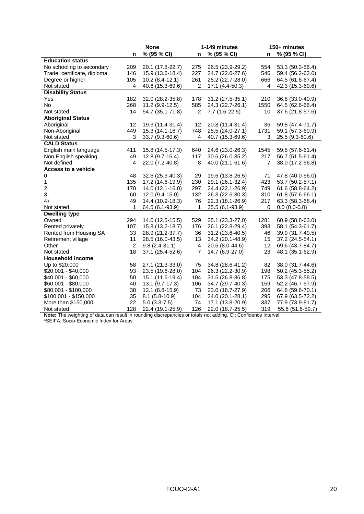|                             |                         | <b>None</b>      | 1-149 minutes  |                  |      | 150+ minutes     |  |
|-----------------------------|-------------------------|------------------|----------------|------------------|------|------------------|--|
|                             | n                       | % (95 % CI)      | n              | % (95 % CI)      | n    | % (95 % CI)      |  |
| <b>Education status</b>     |                         |                  |                |                  |      |                  |  |
| No schooling to secondary   | 209                     | 20.1 (17.8-22.7) | 275            | 26.5 (23.9-29.2) | 554  | 53.3 (50.3-56.4) |  |
| Trade, certificate, diploma | 146                     | 15.9 (13.6-18.4) | 227            | 24.7 (22.0-27.6) | 546  | 59.4 (56.2-62.6) |  |
| Degree or higher            | 105                     | $10.2(8.4-12.1)$ | 261            | 25.2 (22.7-28.0) | 666  | 64.5 (61.6-67.4) |  |
| Not stated                  | 4                       | 40.6 (15.3-69.6) | $\overline{2}$ | 17.1 (4.4-50.3)  | 4    | 42.3 (15.3-69.6) |  |
| <b>Disability Status</b>    |                         |                  |                |                  |      |                  |  |
| Yes                         | 182                     | 32.0 (28.2-35.8) | 178            | 31.2 (27.5-35.1) | 210  | 36.8 (33.0-40.9) |  |
| <b>No</b>                   | 268                     | 11.2 (9.9-12.5)  | 585            | 24.3 (22.7-26.1) | 1550 | 64.5 (62.6-66.4) |  |
| Not stated                  | 14                      | 54.7 (35.1-71.8) | $\overline{2}$ | 7.7 (1.6-22.5)   | 10   | 37.6 (21.8-57.6) |  |
| <b>Aboriginal Status</b>    |                         |                  |                |                  |      |                  |  |
| Aboriginal                  | 12                      | 19.3 (11.4-31.4) | 12             | 20.8 (11.4-31.4) | 36   | 59.8 (47.4-71.7) |  |
| Non-Aboriginal              | 449                     | 15.3 (14.1-16.7) | 748            | 25.5 (24.0-27.1) | 1731 | 59.1 (57.3-60.9) |  |
| Not stated                  | 3                       | 33.7 (9.3-60.6)  | 4              | 40.7 (15.3-69.6) | 3    | 25.5 (9.3-60.6)  |  |
| <b>CALD Status</b>          |                         |                  |                |                  |      |                  |  |
| English main language       | 411                     | 15.8 (14.5-17.3) | 640            | 24.6 (23.0-26.3) | 1545 | 59.5 (57.6-61.4) |  |
| Non English speaking        | 49                      | $12.8(9.7-16.4)$ | 117            | 30.6 (26.0-35.2) | 217  | 56.7 (51.5-61.4) |  |
| Not defined                 | 4                       | 22.0 (7.2-40.8)  | 8              | 40.0 (21.1-61.6) | 7    | 38.0 (17.2-56.8) |  |
| <b>Access to a vehicle</b>  |                         |                  |                |                  |      |                  |  |
| 0                           | 48                      | 32.6 (25.3-40.3) | 29             | 19.6 (13.8-26.5) | 71   | 47.8 (40.0-56.0) |  |
| 1                           | 135                     | 17.2 (14.6-19.9) | 230            | 29.1 (26.1-32.4) | 423  | 53.7 (50.2-57.1) |  |
| $\overline{c}$              | 170                     | 14.0 (12.1-16.0) | 297            | 24.4 (22.1-26.9) | 749  | 61.6 (58.8-64.2) |  |
| 3                           | 60                      | 12.0 (9.4-15.0)  | 132            | 26.3 (22.6-30.3) | 310  | 61.8 (57.6-66.1) |  |
| $4+$                        | 49                      | 14.4 (10.9-18.3) | 76             | 22.3 (18.1-26.9) | 217  | 63.3 (58.3-68.4) |  |
| Not stated                  | 1                       | 64.5 (6.1-93.9)  | 1              | 35.5 (6.1-93.9)  | 0    | $0.0(0.0-0.0)$   |  |
| <b>Dwelling type</b>        |                         |                  |                |                  |      |                  |  |
| Owned                       | 294                     | 14.0 (12.5-15.5) | 529            | 25.1 (23.3-27.0) | 1281 | 60.9 (58.8-63.0) |  |
| Rented privately            | 107                     | 15.8 (13.2-18.7) | 176            | 26.1 (22.8-29.4) | 393  | 58.1 (54.3-61.7) |  |
| Rented from Housing SA      | 33                      | 28.9 (21.2-37.7) | 36             | 31.2 (23.6-40.5) | 46   | 39.9 (31.7-49.5) |  |
| Retirement village          | 11                      | 28.5 (16.0-43.5) | 13             | 34.2 (20.1-48.9) | 15   | 37.2 (24.5-54.1) |  |
| Other                       | $\overline{\mathbf{c}}$ | $9.8(2.4-31.1)$  | 4              | 20.6 (8.0-44.6)  | 12   | 69.6 (43.7-84.7) |  |
| Not stated                  | 18                      | 37.1 (25.4-52.6) | $\overline{7}$ | 14.7 (6.9-27.0)  | 23   | 48.1 (35.1-62.9) |  |
| <b>Household Income</b>     |                         |                  |                |                  |      |                  |  |
| Up to \$20,000              | 58                      | 27.1 (21.3-33.0) | 75             | 34.8 (28.6-41.2) | 82   | 38.0 (31.7-44.6) |  |
| \$20,001 - \$40,000         | 93                      | 23.5 (19.6-28.0) | 104            | 26.3 (22.2-30.9) | 198  | 50.2 (45.3-55.2) |  |
| \$40,001 - \$60,000         | 50                      | 15.1 (11.6-19.4) | 104            | 31.5 (26.8-36.8) | 175  | 53.3 (47.8-58.5) |  |
| \$60,001 - \$80,000         | 40                      | 13.1 (9.7-17.3)  | 106            | 34.7 (29.7-40.3) | 159  | 52.2 (46.7-57.9) |  |
| \$80,001 - \$100,000        | 38                      | 12.1 (8.8-15.9)  | 73             | 23.0 (18.7-27.9) | 206  | 64.8 (59.6-70.1) |  |
| \$100,001 - \$150,000       | 35                      | $8.1(5.8-10.9)$  | 104            | 24.0 (20.1-28.1) | 295  | 67.9 (63.5-72.2) |  |
| More than \$150,000         | 22                      | $5.0(3.3-7.5)$   | 74             | 17.1 (13.8-20.9) | 337  | 77.9 (73.9-81.7) |  |
| Not stated                  | 128                     | 22.4 (19.1-25.9) | 126            | 22.0 (18.7-25.5) | 319  | 55.6 (51.6-59.7) |  |

**Note:** The weighting of data can result in rounding discrepancies or totals not adding. CI: Confidence Interval. \*SEIFA: Socio-Economic Index for Areas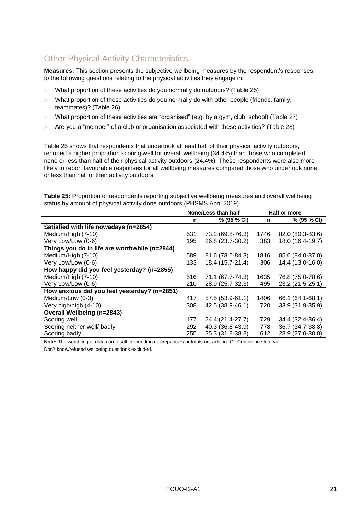# <span id="page-20-0"></span>Other Physical Activity Characteristics

**Measures:** This section presents the subjective wellbeing measures by the respondent's responses to the following questions relating to the physical activities they engage in:

- What proportion of these activities do you normally do outdoors? [\(Table 25\)](#page-20-1)
- $>$  What proportion of these activities do you normally do with other people (friends, family, teammates)? [\(Table 26\)](#page-21-0)
- $>$  What proportion of these activities are "organised" (e.g. by a gym, club, school) [\(Table 27\)](#page-21-1)
- Are you a "member" of a club or organisation associated with these activities? [\(Table 28\)](#page-22-0)

[Table 25](#page-20-1) shows that respondents that undertook at least half of their physical activity outdoors, reported a higher proportion scoring well for overall wellbeing (34.4%) than those who completed none or less than half of their physical activity outdoors (24.4%). These respondents were also more likely to report favourable responses for all wellbeing measures compared those who undertook none, or less than half of their activity outdoors.

<span id="page-20-1"></span>**Table 25:** Proportion of respondents reporting subjective wellbeing measures and overall wellbeing status by amount of physical activity done outdoors (PHSMS April 2019)

|                                               | None/Less than half |                  |      | Half or more     |  |
|-----------------------------------------------|---------------------|------------------|------|------------------|--|
|                                               | n                   | % (95 % CI)      | n    | % (95 % CI)      |  |
| Satisfied with life nowadays (n=2854)         |                     |                  |      |                  |  |
| Medium/High (7-10)                            | 531                 | 73.2 (69.8-76.3) | 1746 | 82.0 (80.3-83.6) |  |
| Very Low/Low (0-6)                            | 195                 | 26.8 (23.7-30.2) | 383  | 18.0 (16.4-19.7) |  |
| Things you do in life are worthwhile (n=2844) |                     |                  |      |                  |  |
| Medium/High (7-10)                            | 589                 | 81.6 (78.6-84.3) | 1816 | 85.6 (84.0-87.0) |  |
| Very Low/Low (0-6)                            | 133                 | 18.4 (15.7-21.4) | 306  | 14.4 (13.0-16.0) |  |
| How happy did you feel yesterday? (n=2855)    |                     |                  |      |                  |  |
| Medium/High (7-10)                            | 516                 | 71.1 (67.7-74.3) | 1635 | 76.8 (75.0-78.6) |  |
| Very Low/Low (0-6)                            | 210                 | 28.9 (25.7-32.3) | 495  | 23.2 (21.5-25.1) |  |
| How anxious did you feel yesterday? (n=2851)  |                     |                  |      |                  |  |
| Medium/Low (0-3)                              | 417                 | 57.5 (53.9-61.1) | 1406 | 66.1 (64.1-68.1) |  |
| Very high/high (4-10)                         | 308                 | 42.5 (38.9-46.1) | 720  | 33.9 (31.9-35.9) |  |
| <b>Overall Wellbeing (n=2843)</b>             |                     |                  |      |                  |  |
| Scoring well                                  | 177                 | 24.4 (21.4-27.7) | 729  | 34.4 (32.4-36.4) |  |
| Scoring neither well/ badly                   | 292                 | 40.3 (36.8-43.9) | 778  | 36.7 (34.7-38.8) |  |
| Scoring badly                                 | 255                 | 35.3 (31.8-38.8) | 612  | 28.9 (27.0-30.8) |  |

**Note:** The weighting of data can result in rounding discrepancies or totals not adding. CI: Confidence Interval.

Don't know/refused wellbeing questions excluded.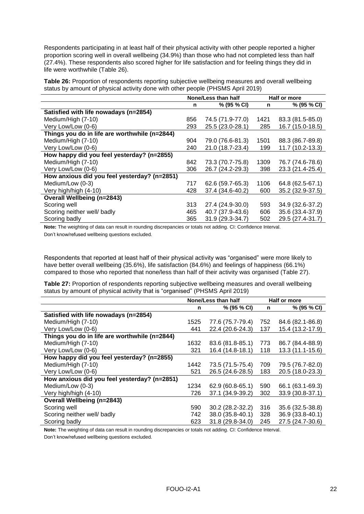Respondents participating in at least half of their physical activity with other people reported a higher proportion scoring well in overall wellbeing (34.9%) than those who had not completed less than half (27.4%). These respondents also scored higher for life satisfaction and for feeling things they did in life were worthwhile [\(Table 26\)](#page-21-0).

<span id="page-21-0"></span>**Table 26:** Proportion of respondents reporting subjective wellbeing measures and overall wellbeing status by amount of physical activity done with other people (PHSMS April 2019)

|                                               | None/Less than half |                  |      | Half or more     |
|-----------------------------------------------|---------------------|------------------|------|------------------|
|                                               | n                   | % (95 % CI)      | n    | % (95 % CI)      |
| Satisfied with life nowadays (n=2854)         |                     |                  |      |                  |
| Medium/High (7-10)                            | 856                 | 74.5 (71.9-77.0) | 1421 | 83.3 (81.5-85.0) |
| Very Low/Low (0-6)                            | 293                 | 25.5 (23.0-28.1) | 285  | 16.7 (15.0-18.5) |
| Things you do in life are worthwhile (n=2844) |                     |                  |      |                  |
| Medium/High (7-10)                            | 904                 | 79.0 (76.6-81.3) | 1501 | 88.3 (86.7-89.8) |
| Very Low/Low (0-6)                            | 240                 | 21.0 (18.7-23.4) | 199  | 11.7 (10.2-13.3) |
| How happy did you feel yesterday? (n=2855)    |                     |                  |      |                  |
| Medium/High (7-10)                            | 842                 | 73.3 (70.7-75.8) | 1309 | 76.7 (74.6-78.6) |
| Very Low/Low (0-6)                            | 306                 | 26.7 (24.2-29.3) | 398  | 23.3 (21.4-25.4) |
| How anxious did you feel yesterday? (n=2851)  |                     |                  |      |                  |
| Medium/Low (0-3)                              | 717                 | 62.6 (59.7-65.3) | 1106 | 64.8 (62.5-67.1) |
| Very high/high (4-10)                         | 428                 | 37.4 (34.6-40.2) | 600  | 35.2 (32.9-37.5) |
| <b>Overall Wellbeing (n=2843)</b>             |                     |                  |      |                  |
| Scoring well                                  | 313                 | 27.4 (24.9-30.0) | 593  | 34.9 (32.6-37.2) |
| Scoring neither well/ badly                   | 465                 | 40.7 (37.9-43.6) | 606  | 35.6 (33.4-37.9) |
| Scoring badly                                 | 365                 | 31.9 (29.3-34.7) | 502  | 29.5 (27.4-31.7) |

**Note:** The weighting of data can result in rounding discrepancies or totals not adding. CI: Confidence Interval. Don't know/refused wellbeing questions excluded.

Respondents that reported at least half of their physical activity was "organised" were more likely to have better overall wellbeing (35.6%), life satisfaction (84.6%) and feelings of happiness (66.1%) compared to those who reported that none/less than half of their activity was organised [\(Table 27\)](#page-21-1).

<span id="page-21-1"></span>**Table 27:** Proportion of respondents reporting subjective wellbeing measures and overall wellbeing status by amount of physical activity that is "organised" (PHSMS April 2019)

|                                               | None/Less than half |                  |     | Half or more     |
|-----------------------------------------------|---------------------|------------------|-----|------------------|
|                                               | n                   | % (95 % CI)      | n   | % (95 % CI)      |
| Satisfied with life nowadays (n=2854)         |                     |                  |     |                  |
| Medium/High (7-10)                            | 1525                | 77.6 (75.7-79.4) | 752 | 84.6 (82.1-86.8) |
| Very Low/Low (0-6)                            | 441                 | 22.4 (20.6-24.3) | 137 | 15.4 (13.2-17.9) |
| Things you do in life are worthwhile (n=2844) |                     |                  |     |                  |
| Medium/High (7-10)                            | 1632                | 83.6 (81.8-85.1) | 773 | 86.7 (84.4-88.9) |
| Very Low/Low (0-6)                            | 321                 | 16.4 (14.8-18.1) | 118 | 13.3 (11.1-15.6) |
| How happy did you feel yesterday? (n=2855)    |                     |                  |     |                  |
| Medium/High (7-10)                            | 1442                | 73.5 (71.5-75.4) | 709 | 79.5 (76.7-82.0) |
| Very Low/Low (0-6)                            | 521                 | 26.5 (24.6-28.5) | 183 | 20.5 (18.0-23.3) |
| How anxious did you feel yesterday? (n=2851)  |                     |                  |     |                  |
| Medium/Low (0-3)                              | 1234                | 62.9 (60.8-65.1) | 590 | 66.1 (63.1-69.3) |
| Very high/high (4-10)                         | 726                 | 37.1 (34.9-39.2) | 302 | 33.9 (30.8-37.1) |
| <b>Overall Wellbeing (n=2843)</b>             |                     |                  |     |                  |
| Scoring well                                  | 590                 | 30.2 (28.2-32.2) | 316 | 35.6 (32.5-38.8) |
| Scoring neither well/ badly                   | 742                 | 38.0 (35.8-40.1) | 328 | 36.9 (33.8-40.1) |
| Scoring badly                                 | 623                 | 31.8 (29.8-34.0) | 245 | 27.5 (24.7-30.6) |

**Note:** The weighting of data can result in rounding discrepancies or totals not adding. CI: Confidence Interval.

Don't know/refused wellbeing questions excluded.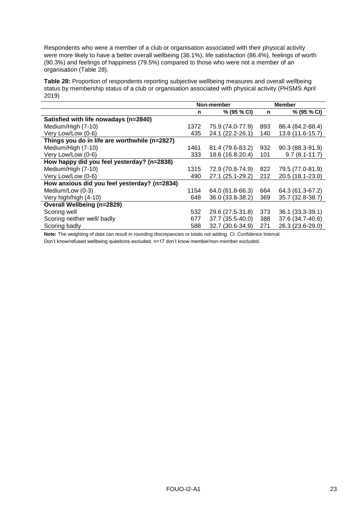Respondents who were a member of a club or organisation associated with their physical activity were more likely to have a better overall wellbeing (36.1%), life satisfaction (86.4%), feelings of worth (90.3%) and feelings of happiness (79.5%) compared to those who were not a member of an organisation [\(Table 28\)](#page-22-0).

<span id="page-22-0"></span>**Table 28:** Proportion of respondents reporting subjective wellbeing measures and overall wellbeing status by membership status of a club or organisation associated with physical activity (PHSMS April 2019)

|                                               | Non-member |                  |     | <b>Member</b>     |
|-----------------------------------------------|------------|------------------|-----|-------------------|
|                                               | n          | % (95 % CI)      | n   | % (95 % CI)       |
| Satisfied with life nowadays (n=2840)         |            |                  |     |                   |
| Medium/High (7-10)                            | 1372       | 75.9 (74.0-77.9) | 893 | 86.4 (84.2-88.4)  |
| Very Low/Low (0-6)                            | 435        | 24.1 (22.2-26.1) | 140 | 13.6 (11.6-15.7)  |
| Things you do in life are worthwhile (n=2827) |            |                  |     |                   |
| Medium/High (7-10)                            | 1461       | 81.4 (79.6-83.2) | 932 | 90.3 (88.3-91.9)  |
| Very Low/Low (0-6)                            | 333        | 18.6 (16.8-20.4) | 101 | $9.7(8.1 - 11.7)$ |
| How happy did you feel yesterday? (n=2838)    |            |                  |     |                   |
| Medium/High (7-10)                            | 1315       | 72.9 (70.8-74.9) | 822 | 79.5 (77.0-81.9)  |
| Very Low/Low (0-6)                            | 490        | 27.1 (25.1-29.2) | 212 | 20.5 (18.1-23.0)  |
| How anxious did you feel yesterday? (n=2834)  |            |                  |     |                   |
| Medium/Low (0-3)                              | 1154       | 64.0 (61.8-66.3) | 664 | 64.3 (61.3-67.2)  |
| Very high/high (4-10)                         | 648        | 36.0 (33.8-38.2) | 369 | 35.7 (32.8-38.7)  |
| <b>Overall Wellbeing (n=2829)</b>             |            |                  |     |                   |
| Scoring well                                  | 532        | 29.6 (27.5-31.8) | 373 | 36.1 (33.3-39.1)  |
| Scoring neither well/ badly                   | 677        | 37.7 (35.5-40.0) | 388 | 37.6 (34.7-40.6)  |
| Scoring badly                                 | 588        | 32.7 (30.6-34.9) | 271 | 26.3 (23.6-29.0)  |

**Note:** The weighting of data can result in rounding discrepancies or totals not adding. CI: Confidence Interval.

Don't know/refused wellbeing questions excluded. n=17 don't know member/non-member excluded.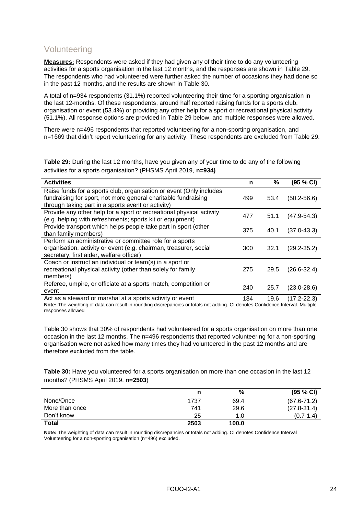### <span id="page-23-0"></span>Volunteering

**Measures:** Respondents were asked if they had given any of their time to do any volunteering activities for a sports organisation in the last 12 months, and the responses are shown in [Table 29.](#page-23-1) The respondents who had volunteered were further asked the number of occasions they had done so in the past 12 months, and the results are shown in [Table 30.](#page-23-2)

A total of n=934 respondents (31.1%) reported volunteering their time for a sporting organisation in the last 12-months. Of these respondents, around half reported raising funds for a sports club, organisation or event (53.4%) or providing any other help for a sport or recreational physical activity (51.1%). All response options are provided in [Table 29](#page-23-1) below, and multiple responses were allowed.

There were n=496 respondents that reported volunteering for a non-sporting organisation, and n=1569 that didn't report volunteering for any activity. These respondents are excluded from [Table 29.](#page-23-1)

<span id="page-23-1"></span>**Table 29:** During the last 12 months, have you given any of your time to do any of the following activities for a sports organisation? (PHSMS April 2019, **n=934)**

| <b>Activities</b>                                                                                                                                                                           | n   | %    | (95 % CI)       |
|---------------------------------------------------------------------------------------------------------------------------------------------------------------------------------------------|-----|------|-----------------|
| Raise funds for a sports club, organisation or event (Only includes<br>fundraising for sport, not more general charitable fundraising<br>through taking part in a sports event or activity) | 499 | 53.4 | $(50.2 - 56.6)$ |
| Provide any other help for a sport or recreational physical activity<br>(e.g. helping with refreshments; sports kit or equipment)                                                           | 477 | 51.1 | $(47.9 - 54.3)$ |
| Provide transport which helps people take part in sport (other<br>than family members)                                                                                                      | 375 | 40.1 | $(37.0 - 43.3)$ |
| Perform an administrative or committee role for a sports<br>organisation, activity or event (e.g. chairman, treasurer, social<br>secretary, first aider, welfare officer)                   | 300 | 32.1 | $(29.2 - 35.2)$ |
| Coach or instruct an individual or team(s) in a sport or<br>recreational physical activity (other than solely for family<br>members)                                                        | 275 | 29.5 | $(26.6 - 32.4)$ |
| Referee, umpire, or officiate at a sports match, competition or<br>event                                                                                                                    | 240 | 25.7 | $(23.0 - 28.6)$ |
| Act as a steward or marshal at a sports activity or event                                                                                                                                   | 184 | 19.6 | $(17.2 - 22.3)$ |

**Note:** The weighting of data can result in rounding discrepancies or totals not adding. CI denotes Confidence Interval. Multiple responses allowed

[Table 30](#page-23-2) shows that 30% of respondents had volunteered for a sports organisation on more than one occasion in the last 12 months. The n=496 respondents that reported volunteering for a non-sporting organisation were not asked how many times they had volunteered in the past 12 months and are therefore excluded from the table.

<span id="page-23-2"></span>**Table 30:** Have you volunteered for a sports organisation on more than one occasion in the last 12 months? (PHSMS April 2019, **n=2503**)

|                | n    | %     | (95 % CI)       |
|----------------|------|-------|-----------------|
| None/Once      | 1737 | 69.4  | $(67.6 - 71.2)$ |
| More than once | 741  | 29.6  | $(27.8 - 31.4)$ |
| Don't know     | 25   | 1.0   | $(0.7 - 1.4)$   |
| Total          | 2503 | 100.0 |                 |

**Note:** The weighting of data can result in rounding discrepancies or totals not adding. CI denotes Confidence Interval Volunteering for a non-sporting organisation (n=496) excluded.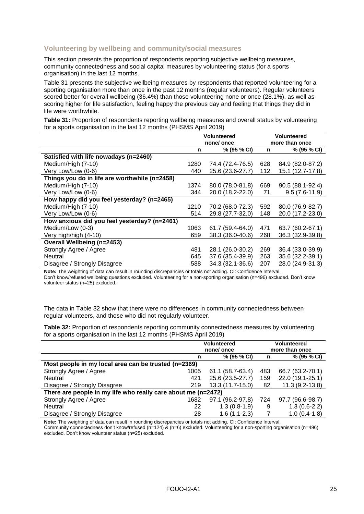### <span id="page-24-0"></span>**Volunteering by wellbeing and community/social measures**

This section presents the proportion of respondents reporting subjective wellbeing measures, community connectedness and social capital measures by volunteering status (for a sports organisation) in the last 12 months.

[Table 31](#page-24-1) presents the subjective wellbeing measures by respondents that reported volunteering for a sporting organisation more than once in the past 12 months (regular volunteers). Regular volunteers scored better for overall wellbeing (36.4%) than those volunteering none or once (28.1%), as well as scoring higher for life satisfaction, feeling happy the previous day and feeling that things they did in life were worthwhile.

<span id="page-24-1"></span>**Table 31:** Proportion of respondents reporting wellbeing measures and overall status by volunteering for a sports organisation in the last 12 months (PHSMS April 2019)

|                                               | Volunteered |                  | <b>Volunteered</b> |                  |  |
|-----------------------------------------------|-------------|------------------|--------------------|------------------|--|
|                                               | none/once   |                  |                    | more than once   |  |
|                                               | n           | % (95 % CI)      | n                  | % (95 % CI)      |  |
| Satisfied with life nowadays (n=2460)         |             |                  |                    |                  |  |
| Medium/High (7-10)                            | 1280        | 74.4 (72.4-76.5) | 628                | 84.9 (82.0-87.2) |  |
| Very Low/Low (0-6)                            | 440         | 25.6 (23.6-27.7) | 112                | 15.1 (12.7-17.8) |  |
| Things you do in life are worthwhile (n=2458) |             |                  |                    |                  |  |
| Medium/High (7-10)                            | 1374        | 80.0 (78.0-81.8) | 669                | 90.5 (88.1-92.4) |  |
| Very Low/Low (0-6)                            | 344         | 20.0 (18.2-22.0) | 71                 | $9.5(7.6-11.9)$  |  |
| How happy did you feel yesterday? (n=2465)    |             |                  |                    |                  |  |
| Medium/High (7-10)                            | 1210        | 70.2 (68.0-72.3) | 592                | 80.0 (76.9-82.7) |  |
| Very Low/Low (0-6)                            | 514         | 29.8 (27.7-32.0) | 148                | 20.0 (17.2-23.0) |  |
| How anxious did you feel yesterday? (n=2461)  |             |                  |                    |                  |  |
| Medium/Low (0-3)                              | 1063        | 61.7 (59.4-64.0) | 471                | 63.7 (60.2-67.1) |  |
| Very high/high (4-10)                         | 659         | 38.3 (36.0-40.6) | 268                | 36.3 (32.9-39.8) |  |
| <b>Overall Wellbeing (n=2453)</b>             |             |                  |                    |                  |  |
| Strongly Agree / Agree                        | 481         | 28.1 (26.0-30.2) | 269                | 36.4 (33.0-39.9) |  |
| Neutral                                       | 645         | 37.6 (35.4-39.9) | 263                | 35.6 (32.2-39.1) |  |
| Disagree / Strongly Disagree                  | 588         | 34.3 (32.1-36.6) | 207                | 28.0 (24.9-31.3) |  |

**Note:** The weighting of data can result in rounding discrepancies or totals not adding. CI: Confidence Interval. Don't know/refused wellbeing questions excluded. Volunteering for a non-sporting organisation (n=496) excluded. Don't know volunteer status (n=25) excluded.

The data in [Table 32](#page-24-2) show that there were no differences in community connectedness between regular volunteers, and those who did not regularly volunteer.

<span id="page-24-2"></span>**Table 32:** Proportion of respondents reporting community connectedness measures by volunteering for a sports organisation in the last 12 months (PHSMS April 2019)

|                                                               | <b>Volunteered</b><br>none/once |                  | <b>Volunteered</b><br>more than once |                  |
|---------------------------------------------------------------|---------------------------------|------------------|--------------------------------------|------------------|
|                                                               | n                               | % (95 % CI)      | n                                    | % (95 % CI)      |
| Most people in my local area can be trusted (n=2369)          |                                 |                  |                                      |                  |
| Strongly Agree / Agree                                        | 1005                            | 61.1 (58.7-63.4) | 483                                  | 66.7 (63.2-70.1) |
| Neutral                                                       | 421                             | 25.6 (23.5-27.7) | 159                                  | 22.0 (19.1-25.1) |
| Disagree / Strongly Disagree                                  | 219                             | 13.3 (11.7-15.0) | 82                                   | $11.3(9.2-13.8)$ |
| There are people in my life who really care about me (n=2472) |                                 |                  |                                      |                  |
| Strongly Agree / Agree                                        | 1682                            | 97.1 (96.2-97.8) | 724                                  | 97.7 (96.6-98.7) |
| Neutral                                                       | 22                              | $1.3(0.8-1.9)$   | 9                                    | $1.3(0.6-2.2)$   |
| Disagree / Strongly Disagree                                  | 28                              | $1.6(1.1-2.3)$   |                                      | $1.0(0.4-1.8)$   |

**Note:** The weighting of data can result in rounding discrepancies or totals not adding. CI: Confidence Interval. Community connectedness don't know/refused (n=124) & (n=6) excluded. Volunteering for a non-sporting organisation (n=496) excluded. Don't know volunteer status (n=25) excluded.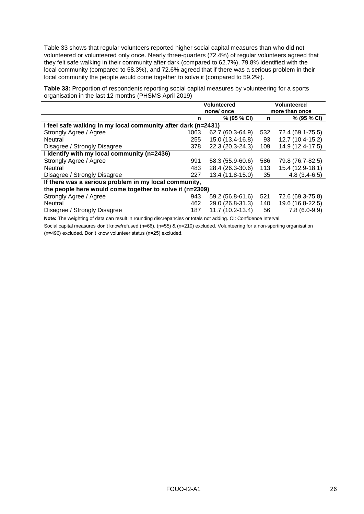[Table 33](#page-25-0) shows that regular volunteers reported higher social capital measures than who did not volunteered or volunteered only once. Nearly three-quarters (72.4%) of regular volunteers agreed that they felt safe walking in their community after dark (compared to 62.7%), 79.8% identified with the local community (compared to 58.3%), and 72.6% agreed that if there was a serious problem in their local community the people would come together to solve it (compared to 59.2%).

<span id="page-25-0"></span>**Table 33:** Proportion of respondents reporting social capital measures by volunteering for a sports organisation in the last 12 months (PHSMS April 2019)

|                                                               | <b>Volunteered</b> |                  | <b>Volunteered</b> |                  |  |  |
|---------------------------------------------------------------|--------------------|------------------|--------------------|------------------|--|--|
|                                                               | none/once          |                  | more than once     |                  |  |  |
|                                                               | n                  | % (95 % CI)      | n                  | % (95 % CI)      |  |  |
| I feel safe walking in my local community after dark (n=2431) |                    |                  |                    |                  |  |  |
| Strongly Agree / Agree                                        | 1063               | 62.7 (60.3-64.9) | 532                | 72.4 (69.1-75.5) |  |  |
| Neutral                                                       | 255                | 15.0 (13.4-16.8) | 93                 | 12.7 (10.4-15.2) |  |  |
| Disagree / Strongly Disagree                                  | 378                | 22.3 (20.3-24.3) | 109                | 14.9 (12.4-17.5) |  |  |
| I identify with my local community (n=2436)                   |                    |                  |                    |                  |  |  |
| Strongly Agree / Agree                                        | 991                | 58.3 (55.9-60.6) | 586                | 79.8 (76.7-82.5) |  |  |
| Neutral                                                       | 483                | 28.4 (26.3-30.6) | 113                | 15.4 (12.9-18.1) |  |  |
| Disagree / Strongly Disagree                                  | 227                | 13.4 (11.8-15.0) | 35                 | $4.8(3.4-6.5)$   |  |  |
| If there was a serious problem in my local community,         |                    |                  |                    |                  |  |  |
| the people here would come together to solve it (n=2309)      |                    |                  |                    |                  |  |  |
| Strongly Agree / Agree                                        | 943                | 59.2 (56.8-61.6) | 521                | 72.6 (69.3-75.8) |  |  |
| Neutral                                                       | 462                | 29.0 (26.8-31.3) | 140                | 19.6 (16.8-22.5) |  |  |
| Disagree / Strongly Disagree                                  | 187                | 11.7 (10.2-13.4) | 56                 | $7.8(6.0-9.9)$   |  |  |

**Note:** The weighting of data can result in rounding discrepancies or totals not adding. CI: Confidence Interval.

Social capital measures don't know/refused (n=66), (n=55) & (n=210) excluded. Volunteering for a non-sporting organisation (n=496) excluded. Don't know volunteer status (n=25) excluded.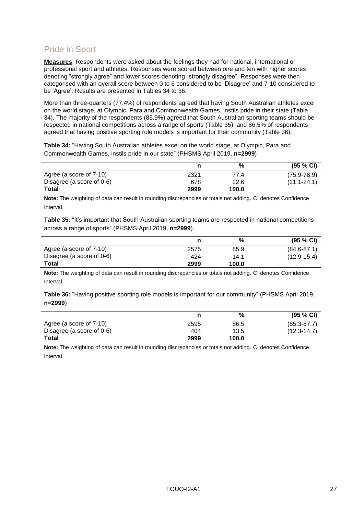# <span id="page-26-0"></span>Pride in Sport

**Measures**: Respondents were asked about the feelings they had for national, international or professional sport and athletes. Responses were scored between one and ten with higher scores denoting "strongly agree" and lower scores denoting "strongly disagree". Responses were then categorised with an overall score between 0 to 6 considered to be 'Disagree' and 7-10 considered to be 'Agree'. Results are presented in Tables 34 to 36.

More than three-quarters (77.4%) of respondents agreed that having South Australian athletes excel on the world stage, at Olympic, Para and Commonwealth Games, instils pride in their state [\(Table](#page-26-1)  [34\)](#page-26-1). The majority of the respondents (85.9%) agreed that South Australian sporting teams should be respected in national competitions across a range of sports [\(Table 35\)](#page-26-2), and 86.5% of respondents agreed that having positive sporting role models is important for their community [\(Table 36\)](#page-26-3).

<span id="page-26-1"></span>**Table 34:** "Having South Australian athletes excel on the world stage, at Olympic, Para and Commonwealth Games, instils pride in our state" (PHSMS April 2019, **n=2999**)

|                           |      | %     | (95 % CI)       |
|---------------------------|------|-------|-----------------|
| Agree (a score of 7-10)   | 2321 | 77.4  | $(75.9 - 78.9)$ |
| Disagree (a score of 0-6) | 678  | 22.6  | $(21.1 - 24.1)$ |
| <b>Total</b>              | 2999 | 100.0 |                 |

**Note:** The weighting of data can result in rounding discrepancies or totals not adding. CI denotes Confidence Interval.

<span id="page-26-2"></span>**Table 35:** "It's important that South Australian sporting teams are respected in national competitions across a range of sports" (PHSMS April 2019, **n=2999**)

|                           |      | %     | (95 % CI)       |
|---------------------------|------|-------|-----------------|
| Agree (a score of 7-10)   | 2575 | 85.9  | $(84.6 - 87.1)$ |
| Disagree (a score of 0-6) | 424  | 14.1  | $(12.9 - 15.4)$ |
| Total                     | 2999 | 100.0 |                 |

**Note:** The weighting of data can result in rounding discrepancies or totals not adding. CI denotes Confidence Interval.

<span id="page-26-3"></span>**Table 36:** "Having positive sporting role models is important for our community" (PHSMS April 2019, **n=2999**)

|                           |      | %     | (95 % C)        |
|---------------------------|------|-------|-----------------|
| Agree (a score of 7-10)   | 2595 | 86.5  | $(85.3 - 87.7)$ |
| Disagree (a score of 0-6) | 404  | 13.5  | $(12.3 - 14.7)$ |
| Total                     | 2999 | 100.0 |                 |

**Note:** The weighting of data can result in rounding discrepancies or totals not adding. CI denotes Confidence Interval.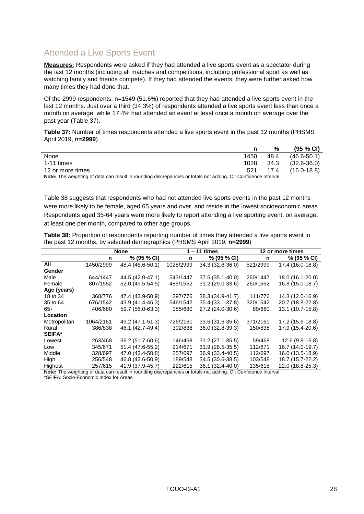### <span id="page-27-0"></span>Attended a Live Sports Event

**Measures:** Respondents were asked if they had attended a live sports event as a spectator during the last 12 months (including all matches and competitions, including professional sport as well as watching family and friends compete). If they had attended the events, they were further asked how many times they had done that.

Of the 2999 respondents, n=1549 (51.6%) reported that they had attended a live sports event in the last 12 months. Just over a third (34.3%) of respondents attended a live sports event less than once a month on average, while 17.4% had attended an event at least once a month on average over the past year [\(Table 37\)](#page-27-1).

<span id="page-27-1"></span>**Table 37:** Number of times respondents attended a live sports event in the past 12 months (PHSMS April 2019, **n=2999**)

|                                                                                                               |      | %    | $(95 \% C)$     |
|---------------------------------------------------------------------------------------------------------------|------|------|-----------------|
| None                                                                                                          | 1450 | 48.4 | $(46.6 - 50.1)$ |
| 1-11 times                                                                                                    | 1028 | 34.3 | $(32.6 - 36.0)$ |
| 12 or more times                                                                                              | 521  | 17.4 | $(16.0 - 18.8)$ |
| Note: The weighting of data can result in rounding discrepancies or totals not adding CL: Confidence Interval |      |      |                 |

**Note:** The weighting of data can result in rounding discrepancies or totals not adding. CI: Confidence Interval.

[Table 38](#page-27-2) suggests that respondents who had not attended live sports events in the past 12 months were more likely to be female, aged 65 years and over, and reside in the lowest socioeconomic areas. Respondents aged 35-64 years were more likely to report attending a live sporting event, on average, at least one per month, compared to other age groups.

<span id="page-27-2"></span>**Table 38:** Proportion of respondents reporting number of times they attended a live sports event in the past 12 months, by selected demographics (PHSMS April 2019, **n=2999**)

|               | <b>None</b> |                  |           | $1 - 11$ times   |          | 12 or more times |  |
|---------------|-------------|------------------|-----------|------------------|----------|------------------|--|
|               | n           | % (95 % CI)      | n         | % (95 % CI)      | n        | % (95 % CI)      |  |
| All           | 1450/2999   | 48.4 (46.6-50.1) | 1028/2999 | 34.3 (32.6-36.0) | 521/2999 | 17.4 (16.0-18.8) |  |
| Gender        |             |                  |           |                  |          |                  |  |
| Male          | 644/1447    | 44.5 (42.0-47.1) | 543/1447  | 37.5 (35.1-40.0) | 260/1447 | 18.0 (16.1-20.0) |  |
| Female        | 807/1552    | 52.0 (49.5-54.5) | 485/1552  | 31.2 (29.0-33.6) | 260/1552 | 16.8 (15.0-18.7) |  |
| Age (years)   |             |                  |           |                  |          |                  |  |
| 18 to 34      | 368/776     | 47.4 (43.9-50.9) | 297/776   | 38.3 (34.9-41.7) | 111/776  | 14.3 (12.0-16.9) |  |
| 35 to 64      | 676/1542    | 43.9 (41.4-46.3) | 546/1542  | 35.4 (33.1-37.8) | 320/1542 | 20.7 (18.8-22.8) |  |
| $65+$         | 406/680     | 59.7 (56.0-63.3) | 185/680   | 27.2 (24.0-30.6) | 89/680   | 13.1 (10.7-15.8) |  |
| Location      |             |                  |           |                  |          |                  |  |
| Metropolitan  | 1064/2161   | 49.2 (47.1-51.3) | 726/2161  | 33.6 (31.6-35.6) | 371/2161 | 17.2 (15.6-18.8) |  |
| Rural         | 386/838     | 46.1 (42.7-49.4) | 302/838   | 36.0 (32.8-39.3) | 150/838  | 17.9 (15.4-20.6) |  |
| <b>SEIFA*</b> |             |                  |           |                  |          |                  |  |
| Lowest        | 263/468     | 56.2 (51.7-60.6) | 146/468   | 31.2 (27.1-35.5) | 59/468   | 12.6 (9.8-15.8)  |  |
| Low           | 345/671     | 51.4 (47.6-55.2) | 214/671   | 31.9 (28.5-35.5) | 112/671  | 16.7 (14.0-19.7) |  |
| Middle        | 328/697     | 47.0 (43.4-50.8) | 257/697   | 36.9 (33.4-40.5) | 112/697  | 16.0 (13.5-18.9) |  |
| High          | 256/548     | 46.8 (42.6-50.9) | 189/548   | 34.5 (30.6-38.5) | 103/548  | 18.7 (15.7-22.2) |  |
| Highest       | 257/615     | 41.9 (37.9-45.7) | 222/615   | 36.1 (32.4-40.0) | 135/615  | 22.0 (18.8-25.3) |  |

**Note:** The weighting of data can result in rounding discrepancies or totals not adding. CI: Confidence Interval.

\*SEIFA: Socio-Economic Index for Areas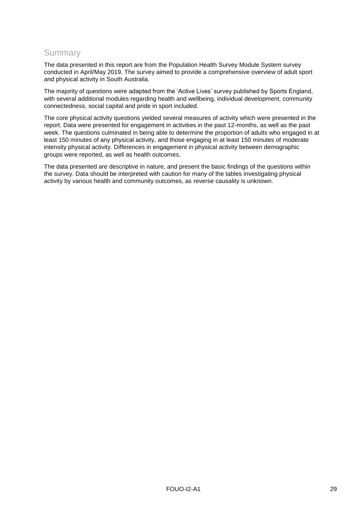## <span id="page-28-0"></span>**Summary**

The data presented in this report are from the Population Health Survey Module System survey conducted in April/May 2019. The survey aimed to provide a comprehensive overview of adult sport and physical activity in South Australia.

The majority of questions were adapted from the 'Active Lives' survey published by Sports England, with several additional modules regarding health and wellbeing, individual development, community connectedness, social capital and pride in sport included.

The core physical activity questions yielded several measures of activity which were presented in the report. Data were presented for engagement in activities in the past 12-months, as well as the past week. The questions culminated in being able to determine the proportion of adults who engaged in at least 150 minutes of any physical activity, and those engaging in at least 150 minutes of moderate intensity physical activity. Differences in engagement in physical activity between demographic groups were reported, as well as health outcomes.

The data presented are descriptive in nature, and present the basic findings of the questions within the survey. Data should be interpreted with caution for many of the tables investigating physical activity by various health and community outcomes, as reverse causality is unknown.